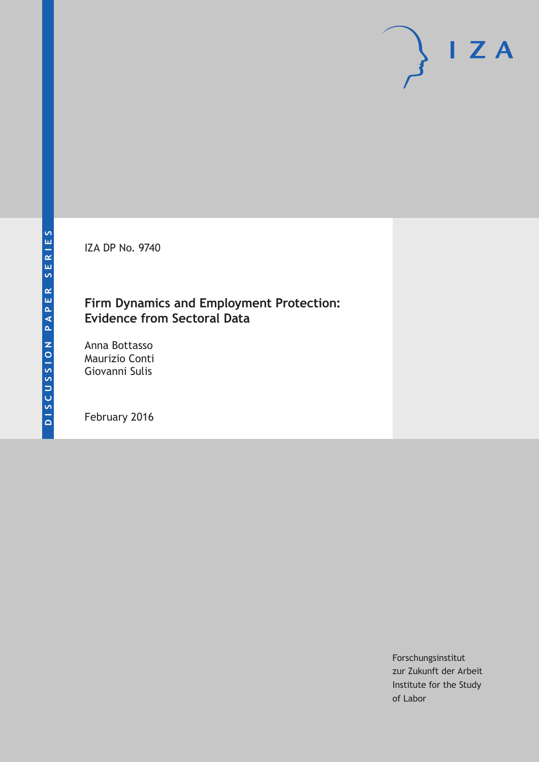IZA DP No. 9740

## **Firm Dynamics and Employment Protection: Evidence from Sectoral Data**

Anna Bottasso Maurizio Conti Giovanni Sulis

February 2016

Forschungsinstitut zur Zukunft der Arbeit Institute for the Study of Labor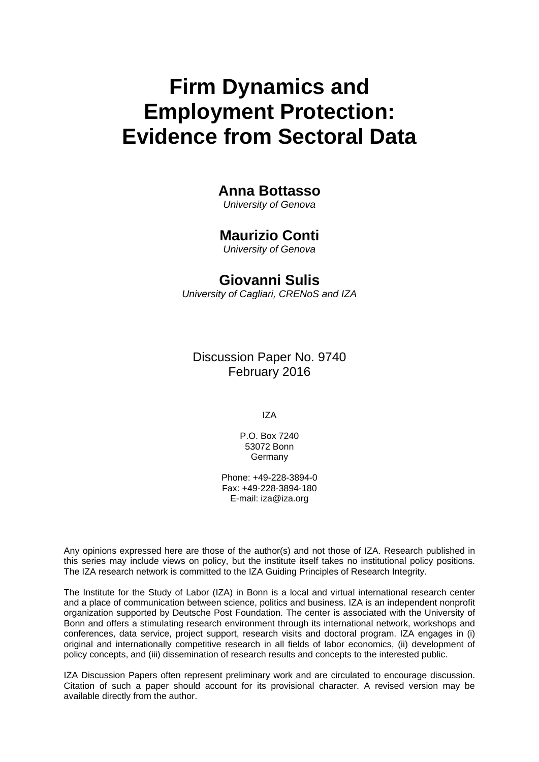# **Firm Dynamics and Employment Protection: Evidence from Sectoral Data**

### **Anna Bottasso**

*University of Genova* 

# **Maurizio Conti**

*University of Genova* 

## **Giovanni Sulis**

*University of Cagliari, CRENoS and IZA*

Discussion Paper No. 9740 February 2016

IZA

P.O. Box 7240 53072 Bonn Germany

Phone: +49-228-3894-0 Fax: +49-228-3894-180 E-mail: iza@iza.org

Any opinions expressed here are those of the author(s) and not those of IZA. Research published in this series may include views on policy, but the institute itself takes no institutional policy positions. The IZA research network is committed to the IZA Guiding Principles of Research Integrity.

The Institute for the Study of Labor (IZA) in Bonn is a local and virtual international research center and a place of communication between science, politics and business. IZA is an independent nonprofit organization supported by Deutsche Post Foundation. The center is associated with the University of Bonn and offers a stimulating research environment through its international network, workshops and conferences, data service, project support, research visits and doctoral program. IZA engages in (i) original and internationally competitive research in all fields of labor economics, (ii) development of policy concepts, and (iii) dissemination of research results and concepts to the interested public.

IZA Discussion Papers often represent preliminary work and are circulated to encourage discussion. Citation of such a paper should account for its provisional character. A revised version may be available directly from the author.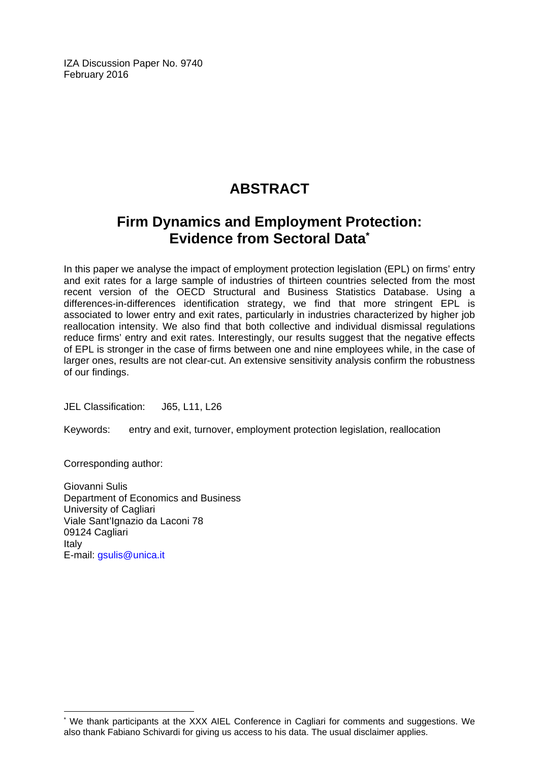IZA Discussion Paper No. 9740 February 2016

# **ABSTRACT**

# **Firm Dynamics and Employment Protection: Evidence from Sectoral Data\***

In this paper we analyse the impact of employment protection legislation (EPL) on firms' entry and exit rates for a large sample of industries of thirteen countries selected from the most recent version of the OECD Structural and Business Statistics Database. Using a differences-in-differences identification strategy, we find that more stringent EPL is associated to lower entry and exit rates, particularly in industries characterized by higher job reallocation intensity. We also find that both collective and individual dismissal regulations reduce firms' entry and exit rates. Interestingly, our results suggest that the negative effects of EPL is stronger in the case of firms between one and nine employees while, in the case of larger ones, results are not clear-cut. An extensive sensitivity analysis confirm the robustness of our findings.

JEL Classification: J65, L11, L26

Keywords: entry and exit, turnover, employment protection legislation, reallocation

Corresponding author:

 $\overline{\phantom{a}}$ 

Giovanni Sulis Department of Economics and Business University of Cagliari Viale Sant'Ignazio da Laconi 78 09124 Cagliari Italy E-mail: gsulis@unica.it

<sup>\*</sup> We thank participants at the XXX AIEL Conference in Cagliari for comments and suggestions. We also thank Fabiano Schivardi for giving us access to his data. The usual disclaimer applies.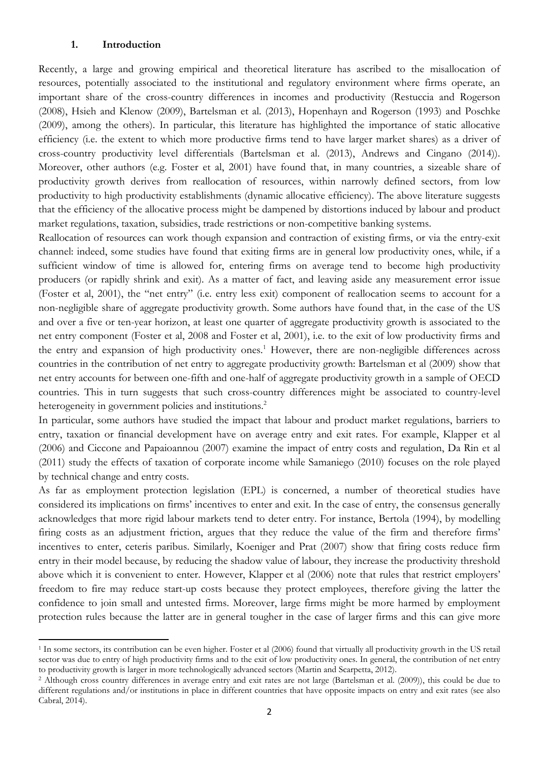#### **1. Introduction**

Recently, a large and growing empirical and theoretical literature has ascribed to the misallocation of resources, potentially associated to the institutional and regulatory environment where firms operate, an important share of the cross-country differences in incomes and productivity (Restuccia and Rogerson (2008), Hsieh and Klenow (2009), Bartelsman et al. (2013), Hopenhayn and Rogerson (1993) and Poschke (2009), among the others). In particular, this literature has highlighted the importance of static allocative efficiency (i.e. the extent to which more productive firms tend to have larger market shares) as a driver of cross-country productivity level differentials (Bartelsman et al. (2013), Andrews and Cingano (2014)). Moreover, other authors (e.g. Foster et al, 2001) have found that, in many countries, a sizeable share of productivity growth derives from reallocation of resources, within narrowly defined sectors, from low productivity to high productivity establishments (dynamic allocative efficiency). The above literature suggests that the efficiency of the allocative process might be dampened by distortions induced by labour and product market regulations, taxation, subsidies, trade restrictions or non-competitive banking systems.

Reallocation of resources can work though expansion and contraction of existing firms, or via the entry-exit channel: indeed, some studies have found that exiting firms are in general low productivity ones, while, if a sufficient window of time is allowed for, entering firms on average tend to become high productivity producers (or rapidly shrink and exit). As a matter of fact, and leaving aside any measurement error issue (Foster et al, 2001), the "net entry" (i.e. entry less exit) component of reallocation seems to account for a non-negligible share of aggregate productivity growth. Some authors have found that, in the case of the US and over a five or ten-year horizon, at least one quarter of aggregate productivity growth is associated to the net entry component (Foster et al, 2008 and Foster et al, 2001), i.e. to the exit of low productivity firms and the entry and expansion of high productivity ones.<sup>1</sup> However, there are non-negligible differences across countries in the contribution of net entry to aggregate productivity growth: Bartelsman et al (2009) show that net entry accounts for between one-fifth and one-half of aggregate productivity growth in a sample of OECD countries. This in turn suggests that such cross-country differences might be associated to country-level heterogeneity in government policies and institutions.<sup>2</sup>

In particular, some authors have studied the impact that labour and product market regulations, barriers to entry, taxation or financial development have on average entry and exit rates. For example, Klapper et al (2006) and Ciccone and Papaioannou (2007) examine the impact of entry costs and regulation, Da Rin et al (2011) study the effects of taxation of corporate income while Samaniego (2010) focuses on the role played by technical change and entry costs.

As far as employment protection legislation (EPL) is concerned, a number of theoretical studies have considered its implications on firms' incentives to enter and exit. In the case of entry, the consensus generally acknowledges that more rigid labour markets tend to deter entry. For instance, Bertola (1994), by modelling firing costs as an adjustment friction, argues that they reduce the value of the firm and therefore firms' incentives to enter, ceteris paribus. Similarly, Koeniger and Prat (2007) show that firing costs reduce firm entry in their model because, by reducing the shadow value of labour, they increase the productivity threshold above which it is convenient to enter. However, Klapper et al (2006) note that rules that restrict employers' freedom to fire may reduce start-up costs because they protect employees, therefore giving the latter the confidence to join small and untested firms. Moreover, large firms might be more harmed by employment protection rules because the latter are in general tougher in the case of larger firms and this can give more

<sup>&</sup>lt;sup>1</sup> In some sectors, its contribution can be even higher. Foster et al (2006) found that virtually all productivity growth in the US retail sector was due to entry of high productivity firms and to the exit of low productivity ones. In general, the contribution of net entry to productivity growth is larger in more technologically advanced sectors (Martin and S

<sup>&</sup>lt;sup>2</sup> Although cross country differences in average entry and exit rates are not large (Bartelsman et al. (2009)), this could be due to different regulations and/or institutions in place in different countries that have opposite impacts on entry and exit rates (see also Cabral, 2014).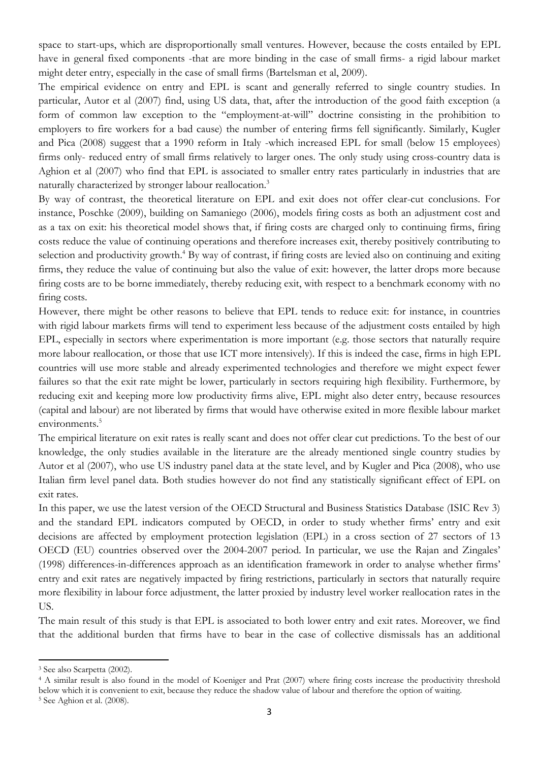space to start-ups, which are disproportionally small ventures. However, because the costs entailed by EPL have in general fixed components -that are more binding in the case of small firms- a rigid labour market might deter entry, especially in the case of small firms (Bartelsman et al, 2009).

The empirical evidence on entry and EPL is scant and generally referred to single country studies. In particular, Autor et al (2007) find, using US data, that, after the introduction of the good faith exception (a form of common law exception to the "employment-at-will" doctrine consisting in the prohibition to employers to fire workers for a bad cause) the number of entering firms fell significantly. Similarly, Kugler and Pica (2008) suggest that a 1990 reform in Italy -which increased EPL for small (below 15 employees) firms only- reduced entry of small firms relatively to larger ones. The only study using cross-country data is Aghion et al (2007) who find that EPL is associated to smaller entry rates particularly in industries that are naturally characterized by stronger labour reallocation.<sup>3</sup>

By way of contrast, the theoretical literature on EPL and exit does not offer clear-cut conclusions. For instance, Poschke (2009), building on Samaniego (2006), models firing costs as both an adjustment cost and as a tax on exit: his theoretical model shows that, if firing costs are charged only to continuing firms, firing costs reduce the value of continuing operations and therefore increases exit, thereby positively contributing to selection and productivity growth.<sup>4</sup> By way of contrast, if firing costs are levied also on continuing and exiting firms, they reduce the value of continuing but also the value of exit: however, the latter drops more because firing costs are to be borne immediately, thereby reducing exit, with respect to a benchmark economy with no firing costs.

However, there might be other reasons to believe that EPL tends to reduce exit: for instance, in countries with rigid labour markets firms will tend to experiment less because of the adjustment costs entailed by high EPL, especially in sectors where experimentation is more important (e.g. those sectors that naturally require more labour reallocation, or those that use ICT more intensively). If this is indeed the case, firms in high EPL countries will use more stable and already experimented technologies and therefore we might expect fewer failures so that the exit rate might be lower, particularly in sectors requiring high flexibility. Furthermore, by reducing exit and keeping more low productivity firms alive, EPL might also deter entry, because resources (capital and labour) are not liberated by firms that would have otherwise exited in more flexible labour market environments.<sup>5</sup>

The empirical literature on exit rates is really scant and does not offer clear cut predictions. To the best of our knowledge, the only studies available in the literature are the already mentioned single country studies by Autor et al (2007), who use US industry panel data at the state level, and by Kugler and Pica (2008), who use Italian firm level panel data. Both studies however do not find any statistically significant effect of EPL on exit rates.

In this paper, we use the latest version of the OECD Structural and Business Statistics Database (ISIC Rev 3) and the standard EPL indicators computed by OECD, in order to study whether firms' entry and exit decisions are affected by employment protection legislation (EPL) in a cross section of 27 sectors of 13 OECD (EU) countries observed over the 2004-2007 period. In particular, we use the Rajan and Zingales' (1998) differences-in-differences approach as an identification framework in order to analyse whether firms' entry and exit rates are negatively impacted by firing restrictions, particularly in sectors that naturally require more flexibility in labour force adjustment, the latter proxied by industry level worker reallocation rates in the US.

The main result of this study is that EPL is associated to both lower entry and exit rates. Moreover, we find that the additional burden that firms have to bear in the case of collective dismissals has an additional

<sup>3</sup> See also Scarpetta (2002).

<sup>&</sup>lt;sup>4</sup> A similar result is also found in the model of Koeniger and Prat (2007) where firing costs increase the productivity threshold below which it is convenient to exit, because they reduce the shadow value of labour and therefore the option of waiting. 5 See Aghion et al. (2008).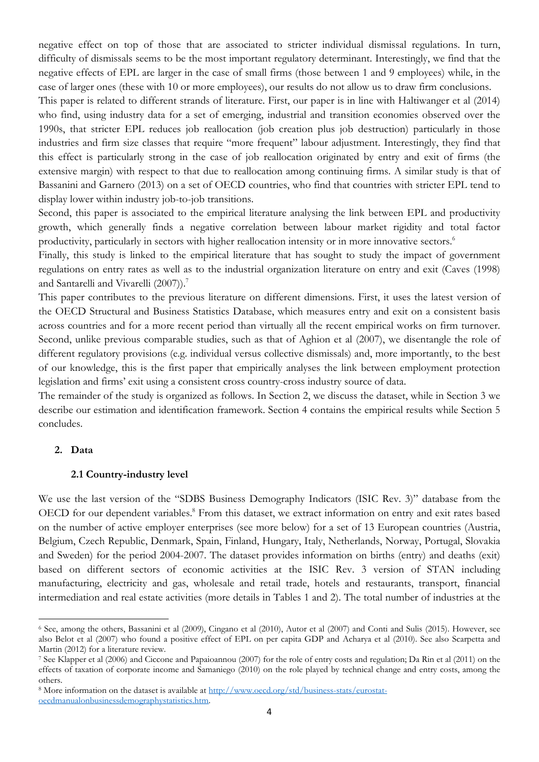negative effect on top of those that are associated to stricter individual dismissal regulations. In turn, difficulty of dismissals seems to be the most important regulatory determinant. Interestingly, we find that the negative effects of EPL are larger in the case of small firms (those between 1 and 9 employees) while, in the case of larger ones (these with 10 or more employees), our results do not allow us to draw firm conclusions.

This paper is related to different strands of literature. First, our paper is in line with Haltiwanger et al (2014) who find, using industry data for a set of emerging, industrial and transition economies observed over the 1990s, that stricter EPL reduces job reallocation (job creation plus job destruction) particularly in those industries and firm size classes that require "more frequent" labour adjustment. Interestingly, they find that this effect is particularly strong in the case of job reallocation originated by entry and exit of firms (the extensive margin) with respect to that due to reallocation among continuing firms. A similar study is that of Bassanini and Garnero (2013) on a set of OECD countries, who find that countries with stricter EPL tend to display lower within industry job-to-job transitions.

Second, this paper is associated to the empirical literature analysing the link between EPL and productivity growth, which generally finds a negative correlation between labour market rigidity and total factor productivity, particularly in sectors with higher reallocation intensity or in more innovative sectors.<sup>6</sup>

Finally, this study is linked to the empirical literature that has sought to study the impact of government regulations on entry rates as well as to the industrial organization literature on entry and exit (Caves (1998) and Santarelli and Vivarelli (2007)).<sup>7</sup>

This paper contributes to the previous literature on different dimensions. First, it uses the latest version of the OECD Structural and Business Statistics Database, which measures entry and exit on a consistent basis across countries and for a more recent period than virtually all the recent empirical works on firm turnover. Second, unlike previous comparable studies, such as that of Aghion et al (2007), we disentangle the role of different regulatory provisions (e.g. individual versus collective dismissals) and, more importantly, to the best of our knowledge, this is the first paper that empirically analyses the link between employment protection legislation and firms' exit using a consistent cross country-cross industry source of data.

The remainder of the study is organized as follows. In Section 2, we discuss the dataset, while in Section 3 we describe our estimation and identification framework. Section 4 contains the empirical results while Section 5 concludes.

#### **2. Data**

#### **2.1 Country-industry level**

We use the last version of the "SDBS Business Demography Indicators (ISIC Rev. 3)" database from the OECD for our dependent variables.<sup>8</sup> From this dataset, we extract information on entry and exit rates based on the number of active employer enterprises (see more below) for a set of 13 European countries (Austria, Belgium, Czech Republic, Denmark, Spain, Finland, Hungary, Italy, Netherlands, Norway, Portugal, Slovakia and Sweden) for the period 2004-2007. The dataset provides information on births (entry) and deaths (exit) based on different sectors of economic activities at the ISIC Rev. 3 version of STAN including manufacturing, electricity and gas, wholesale and retail trade, hotels and restaurants, transport, financial intermediation and real estate activities (more details in Tables 1 and 2). The total number of industries at the

<sup>6</sup> See, among the others, Bassanini et al (2009), Cingano et al (2010), Autor et al (2007) and Conti and Sulis (2015). However, see also Belot et al (2007) who found a positive effect of EPL on per capita GDP and Acharya et al (2010). See also Scarpetta and Martin (2012) for a literature review.

<sup>7</sup> See Klapper et al (2006) and Ciccone and Papaioannou (2007) for the role of entry costs and regulation; Da Rin et al (2011) on the effects of taxation of corporate income and Samaniego (2010) on the role played by technical change and entry costs, among the others.

<sup>8</sup> More information on the dataset is available at http://www.oecd.org/std/business-stats/eurostatoecdmanualonbusinessdemographystatistics.htm.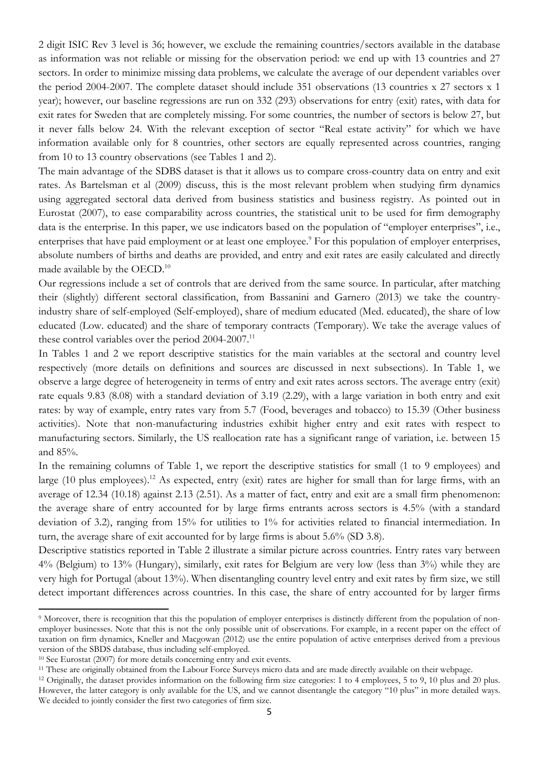2 digit ISIC Rev 3 level is 36; however, we exclude the remaining countries/sectors available in the database as information was not reliable or missing for the observation period: we end up with 13 countries and 27 sectors. In order to minimize missing data problems, we calculate the average of our dependent variables over the period 2004-2007. The complete dataset should include 351 observations (13 countries x 27 sectors x 1 year); however, our baseline regressions are run on 332 (293) observations for entry (exit) rates, with data for exit rates for Sweden that are completely missing. For some countries, the number of sectors is below 27, but it never falls below 24. With the relevant exception of sector "Real estate activity" for which we have information available only for 8 countries, other sectors are equally represented across countries, ranging from 10 to 13 country observations (see Tables 1 and 2).

The main advantage of the SDBS dataset is that it allows us to compare cross-country data on entry and exit rates. As Bartelsman et al (2009) discuss, this is the most relevant problem when studying firm dynamics using aggregated sectoral data derived from business statistics and business registry. As pointed out in Eurostat (2007), to ease comparability across countries, the statistical unit to be used for firm demography data is the enterprise. In this paper, we use indicators based on the population of "employer enterprises", i.e., enterprises that have paid employment or at least one employee.<sup>9</sup> For this population of employer enterprises, absolute numbers of births and deaths are provided, and entry and exit rates are easily calculated and directly made available by the OECD.<sup>10</sup>

Our regressions include a set of controls that are derived from the same source. In particular, after matching their (slightly) different sectoral classification, from Bassanini and Garnero (2013) we take the countryindustry share of self-employed (Self-employed), share of medium educated (Med. educated), the share of low educated (Low. educated) and the share of temporary contracts (Temporary). We take the average values of these control variables over the period 2004-2007.<sup>11</sup>

In Tables 1 and 2 we report descriptive statistics for the main variables at the sectoral and country level respectively (more details on definitions and sources are discussed in next subsections). In Table 1, we observe a large degree of heterogeneity in terms of entry and exit rates across sectors. The average entry (exit) rate equals 9.83 (8.08) with a standard deviation of 3.19 (2.29), with a large variation in both entry and exit rates: by way of example, entry rates vary from 5.7 (Food, beverages and tobacco) to 15.39 (Other business activities). Note that non-manufacturing industries exhibit higher entry and exit rates with respect to manufacturing sectors. Similarly, the US reallocation rate has a significant range of variation, i.e. between 15 and 85%.

In the remaining columns of Table 1, we report the descriptive statistics for small (1 to 9 employees) and large (10 plus employees).<sup>12</sup> As expected, entry (exit) rates are higher for small than for large firms, with an average of 12.34 (10.18) against 2.13 (2.51). As a matter of fact, entry and exit are a small firm phenomenon: the average share of entry accounted for by large firms entrants across sectors is 4.5% (with a standard deviation of 3.2), ranging from 15% for utilities to 1% for activities related to financial intermediation. In turn, the average share of exit accounted for by large firms is about 5.6% (SD 3.8).

Descriptive statistics reported in Table 2 illustrate a similar picture across countries. Entry rates vary between 4% (Belgium) to 13% (Hungary), similarly, exit rates for Belgium are very low (less than 3%) while they are very high for Portugal (about 13%). When disentangling country level entry and exit rates by firm size, we still detect important differences across countries. In this case, the share of entry accounted for by larger firms

<sup>&</sup>lt;sup>9</sup> Moreover, there is recognition that this the population of employer enterprises is distinctly different from the population of nonemployer businesses. Note that this is not the only possible unit of observations. For example, in a recent paper on the effect of taxation on firm dynamics, Kneller and Macgowan (2012) use the entire population of active enterprises derived from a previous version of the SBDS database, thus including self-employed.<br><sup>10</sup> See Eurostat (2007) for more details concerning entry and exit events.<br><sup>11</sup> These are originally obtained from the Labour Force Surveys micro data and are ma

However, the latter category is only available for the US, and we cannot disentangle the category "10 plus" in more detailed ways. We decided to jointly consider the first two categories of firm size.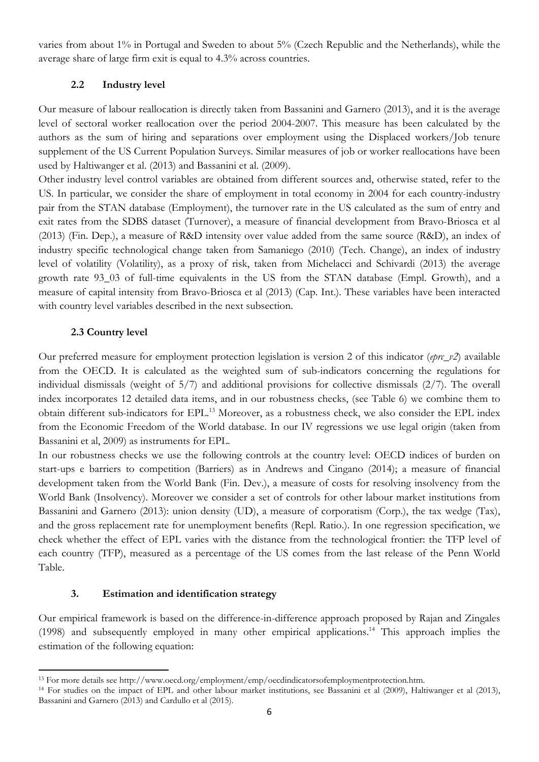varies from about 1% in Portugal and Sweden to about 5% (Czech Republic and the Netherlands), while the average share of large firm exit is equal to 4.3% across countries.

#### **2.2 Industry level**

Our measure of labour reallocation is directly taken from Bassanini and Garnero (2013), and it is the average level of sectoral worker reallocation over the period 2004-2007. This measure has been calculated by the authors as the sum of hiring and separations over employment using the Displaced workers/Job tenure supplement of the US Current Population Surveys. Similar measures of job or worker reallocations have been used by Haltiwanger et al. (2013) and Bassanini et al. (2009).

Other industry level control variables are obtained from different sources and, otherwise stated, refer to the US. In particular, we consider the share of employment in total economy in 2004 for each country-industry pair from the STAN database (Employment), the turnover rate in the US calculated as the sum of entry and exit rates from the SDBS dataset (Turnover), a measure of financial development from Bravo-Briosca et al (2013) (Fin. Dep.), a measure of R&D intensity over value added from the same source (R&D), an index of industry specific technological change taken from Samaniego (2010) (Tech. Change), an index of industry level of volatility (Volatility), as a proxy of risk, taken from Michelacci and Schivardi (2013) the average growth rate 93\_03 of full-time equivalents in the US from the STAN database (Empl. Growth), and a measure of capital intensity from Bravo-Briosca et al (2013) (Cap. Int.). These variables have been interacted with country level variables described in the next subsection.

#### **2.3 Country level**

Our preferred measure for employment protection legislation is version 2 of this indicator (*eprc\_v2*) available from the OECD. It is calculated as the weighted sum of sub-indicators concerning the regulations for individual dismissals (weight of 5/7) and additional provisions for collective dismissals (2/7). The overall index incorporates 12 detailed data items, and in our robustness checks, (see Table 6) we combine them to obtain different sub-indicators for EPL.13 Moreover, as a robustness check, we also consider the EPL index from the Economic Freedom of the World database. In our IV regressions we use legal origin (taken from Bassanini et al, 2009) as instruments for EPL.

In our robustness checks we use the following controls at the country level: OECD indices of burden on start-ups e barriers to competition (Barriers) as in Andrews and Cingano (2014); a measure of financial development taken from the World Bank (Fin. Dev.), a measure of costs for resolving insolvency from the World Bank (Insolvency). Moreover we consider a set of controls for other labour market institutions from Bassanini and Garnero (2013): union density (UD), a measure of corporatism (Corp.), the tax wedge (Tax), and the gross replacement rate for unemployment benefits (Repl. Ratio.). In one regression specification, we check whether the effect of EPL varies with the distance from the technological frontier: the TFP level of each country (TFP), measured as a percentage of the US comes from the last release of the Penn World Table.

#### **3. Estimation and identification strategy**

Our empirical framework is based on the difference-in-difference approach proposed by Rajan and Zingales (1998) and subsequently employed in many other empirical applications.14 This approach implies the estimation of the following equation:

<sup>&</sup>lt;sup>13</sup> For more details see http://www.oecd.org/employment/emp/oecdindicatorsofemploymentprotection.htm.<br><sup>14</sup> For studies on the impact of EPL and other labour market institutions, see Bassanini et al (2009), Haltiwanger et Bassanini and Garnero (2013) and Cardullo et al (2015).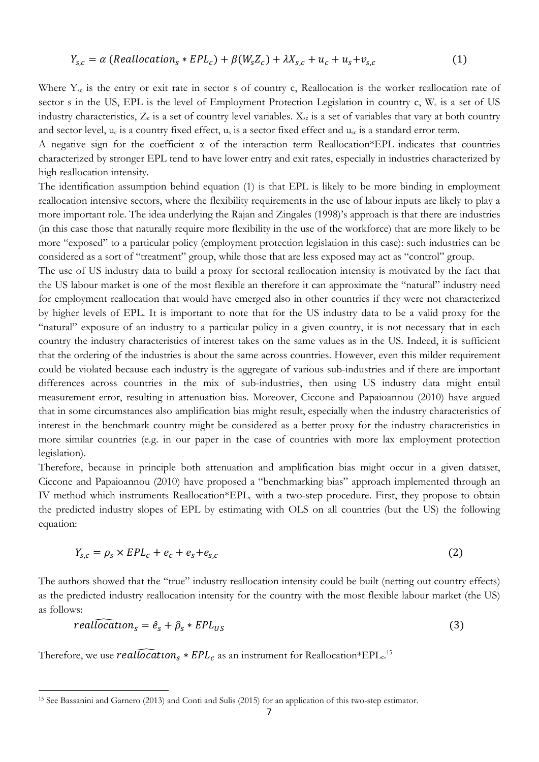$$
Y_{s,c} = \alpha \left(Reallocation_s * EPL_c \right) + \beta \left( W_s Z_c \right) + \lambda X_{s,c} + u_c + u_s + v_{s,c} \tag{1}
$$

Where  $Y_{\rm sc}$  is the entry or exit rate in sector s of country c, Reallocation is the worker reallocation rate of sector s in the US, EPL is the level of Employment Protection Legislation in country  $c, W_s$  is a set of US industry characteristics,  $Z_c$  is a set of country level variables.  $X_{sc}$  is a set of variables that vary at both country and sector level, u<sub>c</sub> is a country fixed effect, u<sub>s</sub> is a sector fixed effect and u<sub>sc</sub> is a standard error term.

A negative sign for the coefficient  $\alpha$  of the interaction term Reallocation\*EPL indicates that countries characterized by stronger EPL tend to have lower entry and exit rates, especially in industries characterized by high reallocation intensity.

The identification assumption behind equation (1) is that EPL is likely to be more binding in employment reallocation intensive sectors, where the flexibility requirements in the use of labour inputs are likely to play a more important role. The idea underlying the Rajan and Zingales (1998)'s approach is that there are industries (in this case those that naturally require more flexibility in the use of the workforce) that are more likely to be more "exposed" to a particular policy (employment protection legislation in this case): such industries can be considered as a sort of "treatment" group, while those that are less exposed may act as "control" group.

The use of US industry data to build a proxy for sectoral reallocation intensity is motivated by the fact that the US labour market is one of the most flexible an therefore it can approximate the "natural" industry need for employment reallocation that would have emerged also in other countries if they were not characterized by higher levels of EPL. It is important to note that for the US industry data to be a valid proxy for the "natural" exposure of an industry to a particular policy in a given country, it is not necessary that in each country the industry characteristics of interest takes on the same values as in the US. Indeed, it is sufficient that the ordering of the industries is about the same across countries. However, even this milder requirement could be violated because each industry is the aggregate of various sub-industries and if there are important differences across countries in the mix of sub-industries, then using US industry data might entail measurement error, resulting in attenuation bias. Moreover, Ciccone and Papaioannou (2010) have argued that in some circumstances also amplification bias might result, especially when the industry characteristics of interest in the benchmark country might be considered as a better proxy for the industry characteristics in more similar countries (e.g. in our paper in the case of countries with more lax employment protection legislation).

Therefore, because in principle both attenuation and amplification bias might occur in a given dataset, Ciccone and Papaioannou (2010) have proposed a "benchmarking bias" approach implemented through an IV method which instruments Reallocation\*EPL<sub>c</sub> with a two-step procedure. First, they propose to obtain the predicted industry slopes of EPL by estimating with OLS on all countries (but the US) the following equation:

$$
Y_{s,c} = \rho_s \times EPL_c + e_c + e_s + e_{s,c} \tag{2}
$$

The authors showed that the "true" industry reallocation intensity could be built (netting out country effects) as the predicted industry reallocation intensity for the country with the most flexible labour market (the US) as follows:

$$
real\widehat{local} \text{ion}_s = \hat{e}_s + \hat{\rho}_s * EPL_{US}
$$
\n
$$
\tag{3}
$$

Therefore, we use  $\widehat{reallocal}$   $\widehat{local}$   $*$   $EPL_c$  as an instrument for Reallocation\*EPL $_c$ .15

<sup>15</sup> See Bassanini and Garnero (2013) and Conti and Sulis (2015) for an application of this two-step estimator.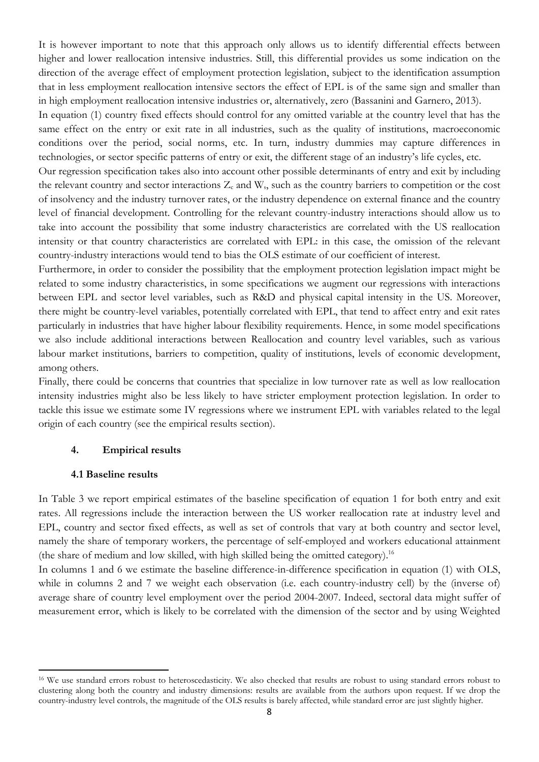It is however important to note that this approach only allows us to identify differential effects between higher and lower reallocation intensive industries. Still, this differential provides us some indication on the direction of the average effect of employment protection legislation, subject to the identification assumption that in less employment reallocation intensive sectors the effect of EPL is of the same sign and smaller than in high employment reallocation intensive industries or, alternatively, zero (Bassanini and Garnero, 2013).

In equation (1) country fixed effects should control for any omitted variable at the country level that has the same effect on the entry or exit rate in all industries, such as the quality of institutions, macroeconomic conditions over the period, social norms, etc. In turn, industry dummies may capture differences in technologies, or sector specific patterns of entry or exit, the different stage of an industry's life cycles, etc.

Our regression specification takes also into account other possible determinants of entry and exit by including the relevant country and sector interactions  $Z_c$  and  $W_s$ , such as the country barriers to competition or the cost of insolvency and the industry turnover rates, or the industry dependence on external finance and the country level of financial development. Controlling for the relevant country-industry interactions should allow us to take into account the possibility that some industry characteristics are correlated with the US reallocation intensity or that country characteristics are correlated with EPL: in this case, the omission of the relevant country-industry interactions would tend to bias the OLS estimate of our coefficient of interest.

Furthermore, in order to consider the possibility that the employment protection legislation impact might be related to some industry characteristics, in some specifications we augment our regressions with interactions between EPL and sector level variables, such as R&D and physical capital intensity in the US. Moreover, there might be country-level variables, potentially correlated with EPL, that tend to affect entry and exit rates particularly in industries that have higher labour flexibility requirements. Hence, in some model specifications we also include additional interactions between Reallocation and country level variables, such as various labour market institutions, barriers to competition, quality of institutions, levels of economic development, among others.

Finally, there could be concerns that countries that specialize in low turnover rate as well as low reallocation intensity industries might also be less likely to have stricter employment protection legislation. In order to tackle this issue we estimate some IV regressions where we instrument EPL with variables related to the legal origin of each country (see the empirical results section).

#### **4. Empirical results**

#### **4.1 Baseline results**

In Table 3 we report empirical estimates of the baseline specification of equation 1 for both entry and exit rates. All regressions include the interaction between the US worker reallocation rate at industry level and EPL, country and sector fixed effects, as well as set of controls that vary at both country and sector level, namely the share of temporary workers, the percentage of self-employed and workers educational attainment (the share of medium and low skilled, with high skilled being the omitted category).<sup>16</sup>

In columns 1 and 6 we estimate the baseline difference-in-difference specification in equation (1) with OLS, while in columns 2 and 7 we weight each observation (i.e. each country-industry cell) by the (inverse of) average share of country level employment over the period 2004-2007. Indeed, sectoral data might suffer of measurement error, which is likely to be correlated with the dimension of the sector and by using Weighted

<sup>&</sup>lt;sup>16</sup> We use standard errors robust to heteroscedasticity. We also checked that results are robust to using standard errors robust to clustering along both the country and industry dimensions: results are available from the authors upon request. If we drop the country-industry level controls, the magnitude of the OLS results is barely affected, while standard error are just slightly higher.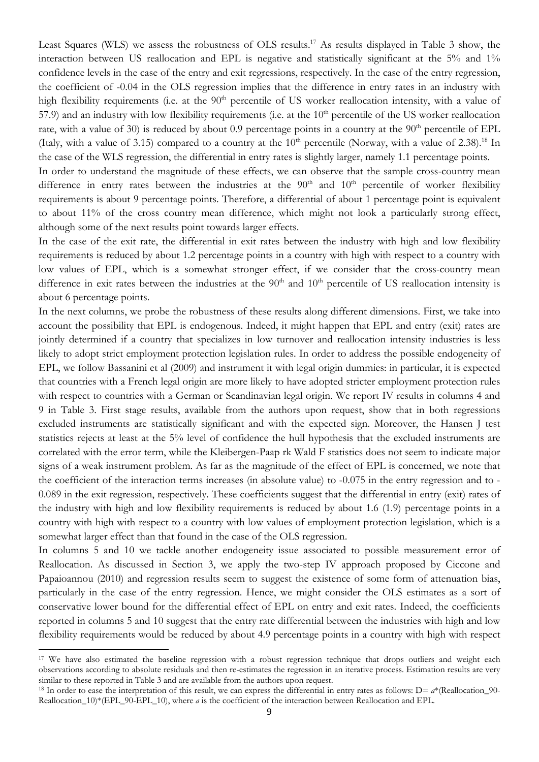Least Squares (WLS) we assess the robustness of OLS results.17 As results displayed in Table 3 show, the interaction between US reallocation and EPL is negative and statistically significant at the 5% and 1% confidence levels in the case of the entry and exit regressions, respectively. In the case of the entry regression, the coefficient of -0.04 in the OLS regression implies that the difference in entry rates in an industry with high flexibility requirements (i.e. at the 90<sup>th</sup> percentile of US worker reallocation intensity, with a value of 57.9) and an industry with low flexibility requirements (i.e. at the  $10<sup>th</sup>$  percentile of the US worker reallocation rate, with a value of 30) is reduced by about 0.9 percentage points in a country at the  $90<sup>th</sup>$  percentile of EPL (Italy, with a value of 3.15) compared to a country at the  $10<sup>th</sup>$  percentile (Norway, with a value of 2.38).<sup>18</sup> In the case of the WLS regression, the differential in entry rates is slightly larger, namely 1.1 percentage points.

In order to understand the magnitude of these effects, we can observe that the sample cross-country mean difference in entry rates between the industries at the  $90<sup>th</sup>$  and  $10<sup>th</sup>$  percentile of worker flexibility requirements is about 9 percentage points. Therefore, a differential of about 1 percentage point is equivalent to about 11% of the cross country mean difference, which might not look a particularly strong effect, although some of the next results point towards larger effects.

In the case of the exit rate, the differential in exit rates between the industry with high and low flexibility requirements is reduced by about 1.2 percentage points in a country with high with respect to a country with low values of EPL, which is a somewhat stronger effect, if we consider that the cross-country mean difference in exit rates between the industries at the  $90<sup>th</sup>$  and  $10<sup>th</sup>$  percentile of US reallocation intensity is about 6 percentage points.

In the next columns, we probe the robustness of these results along different dimensions. First, we take into account the possibility that EPL is endogenous. Indeed, it might happen that EPL and entry (exit) rates are jointly determined if a country that specializes in low turnover and reallocation intensity industries is less likely to adopt strict employment protection legislation rules. In order to address the possible endogeneity of EPL, we follow Bassanini et al (2009) and instrument it with legal origin dummies: in particular, it is expected that countries with a French legal origin are more likely to have adopted stricter employment protection rules with respect to countries with a German or Scandinavian legal origin. We report IV results in columns 4 and 9 in Table 3. First stage results, available from the authors upon request, show that in both regressions excluded instruments are statistically significant and with the expected sign. Moreover, the Hansen J test statistics rejects at least at the 5% level of confidence the hull hypothesis that the excluded instruments are correlated with the error term, while the Kleibergen-Paap rk Wald F statistics does not seem to indicate major signs of a weak instrument problem. As far as the magnitude of the effect of EPL is concerned, we note that the coefficient of the interaction terms increases (in absolute value) to -0.075 in the entry regression and to - 0.089 in the exit regression, respectively. These coefficients suggest that the differential in entry (exit) rates of the industry with high and low flexibility requirements is reduced by about 1.6 (1.9) percentage points in a country with high with respect to a country with low values of employment protection legislation, which is a somewhat larger effect than that found in the case of the OLS regression.

In columns 5 and 10 we tackle another endogeneity issue associated to possible measurement error of Reallocation. As discussed in Section 3, we apply the two-step IV approach proposed by Ciccone and Papaioannou (2010) and regression results seem to suggest the existence of some form of attenuation bias, particularly in the case of the entry regression. Hence, we might consider the OLS estimates as a sort of conservative lower bound for the differential effect of EPL on entry and exit rates. Indeed, the coefficients reported in columns 5 and 10 suggest that the entry rate differential between the industries with high and low flexibility requirements would be reduced by about 4.9 percentage points in a country with high with respect

<sup>&</sup>lt;sup>17</sup> We have also estimated the baseline regression with a robust regression technique that drops outliers and weight each observations according to absolute residuals and then re-estimates the regression in an iterative process. Estimation results are very similar to these reported in Table 3 and are available from the authors upon request.

<sup>&</sup>lt;sup>18</sup> In order to ease the interpretation of this result, we can express the differential in entry rates as follows:  $D = a^*$ (Reallocation\_90-Reallocation\_10)\*(EPL\_90-EPL\_10), where *a* is the coefficient of the interaction between Reallocation and EPL.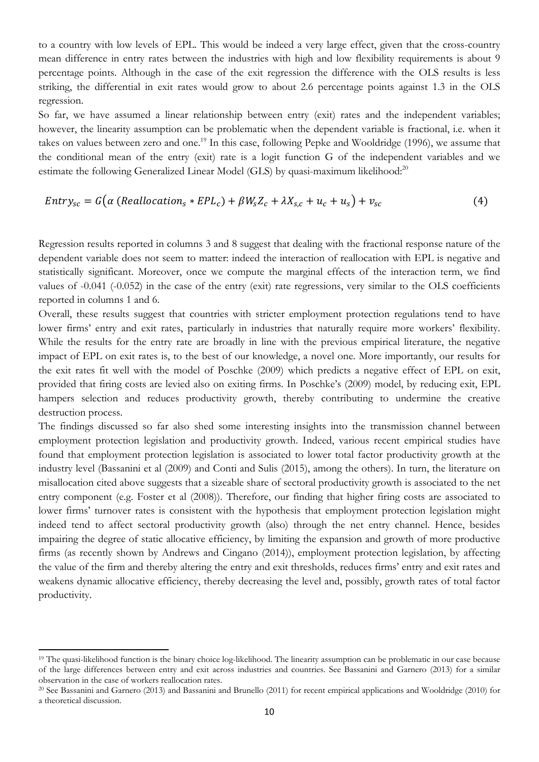to a country with low levels of EPL. This would be indeed a very large effect, given that the cross-country mean difference in entry rates between the industries with high and low flexibility requirements is about 9 percentage points. Although in the case of the exit regression the difference with the OLS results is less striking, the differential in exit rates would grow to about 2.6 percentage points against 1.3 in the OLS regression.

So far, we have assumed a linear relationship between entry (exit) rates and the independent variables; however, the linearity assumption can be problematic when the dependent variable is fractional, i.e. when it takes on values between zero and one.<sup>19</sup> In this case, following Pepke and Wooldridge (1996), we assume that the conditional mean of the entry (exit) rate is a logit function G of the independent variables and we estimate the following Generalized Linear Model (GLS) by quasi-maximum likelihood:<sup>20</sup>

$$
Entry_{sc} = G(\alpha (Reallocation_s * EPL_c) + \beta W_s Z_c + \lambda X_{s,c} + u_c + u_s) + v_{sc}
$$
\n
$$
(4)
$$

Regression results reported in columns 3 and 8 suggest that dealing with the fractional response nature of the dependent variable does not seem to matter: indeed the interaction of reallocation with EPL is negative and statistically significant. Moreover, once we compute the marginal effects of the interaction term, we find values of -0.041 (-0.052) in the case of the entry (exit) rate regressions, very similar to the OLS coefficients reported in columns 1 and 6.

Overall, these results suggest that countries with stricter employment protection regulations tend to have lower firms' entry and exit rates, particularly in industries that naturally require more workers' flexibility. While the results for the entry rate are broadly in line with the previous empirical literature, the negative impact of EPL on exit rates is, to the best of our knowledge, a novel one. More importantly, our results for the exit rates fit well with the model of Poschke (2009) which predicts a negative effect of EPL on exit, provided that firing costs are levied also on exiting firms. In Poschke's (2009) model, by reducing exit, EPL hampers selection and reduces productivity growth, thereby contributing to undermine the creative destruction process.

The findings discussed so far also shed some interesting insights into the transmission channel between employment protection legislation and productivity growth. Indeed, various recent empirical studies have found that employment protection legislation is associated to lower total factor productivity growth at the industry level (Bassanini et al (2009) and Conti and Sulis (2015), among the others). In turn, the literature on misallocation cited above suggests that a sizeable share of sectoral productivity growth is associated to the net entry component (e.g. Foster et al (2008)). Therefore, our finding that higher firing costs are associated to lower firms' turnover rates is consistent with the hypothesis that employment protection legislation might indeed tend to affect sectoral productivity growth (also) through the net entry channel. Hence, besides impairing the degree of static allocative efficiency, by limiting the expansion and growth of more productive firms (as recently shown by Andrews and Cingano (2014)), employment protection legislation, by affecting the value of the firm and thereby altering the entry and exit thresholds, reduces firms' entry and exit rates and weakens dynamic allocative efficiency, thereby decreasing the level and, possibly, growth rates of total factor productivity.

<sup>19</sup> The quasi-likelihood function is the binary choice log-likelihood. The linearity assumption can be problematic in our case because of the large differences between entry and exit across industries and countries. See Bassanini and Garnero (2013) for a similar observation in the case of workers reallocation rates.<br><sup>20</sup> See Bassanini and Garnero (2013) and Bassanini and Brunello (2011) for recent empirical applications and Wooldridge (2010) for

a theoretical discussion.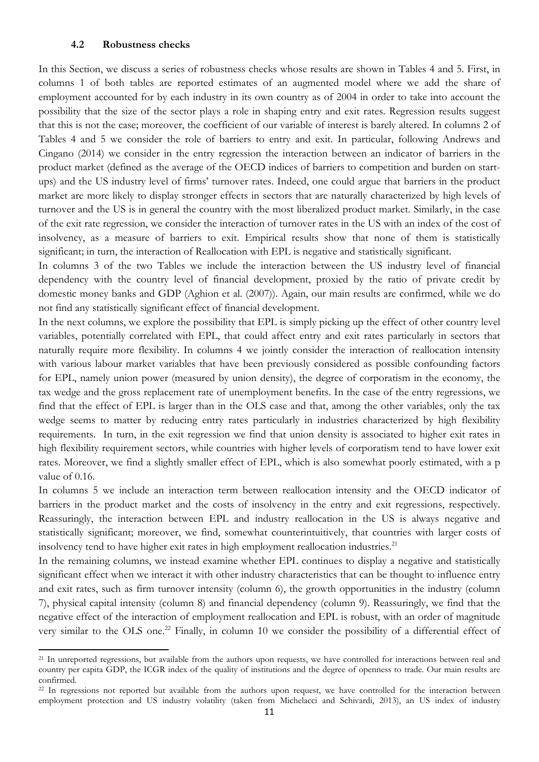#### **4.2 Robustness checks**

In this Section, we discuss a series of robustness checks whose results are shown in Tables 4 and 5. First, in columns 1 of both tables are reported estimates of an augmented model where we add the share of employment accounted for by each industry in its own country as of 2004 in order to take into account the possibility that the size of the sector plays a role in shaping entry and exit rates. Regression results suggest that this is not the case; moreover, the coefficient of our variable of interest is barely altered. In columns 2 of Tables 4 and 5 we consider the role of barriers to entry and exit. In particular, following Andrews and Cingano (2014) we consider in the entry regression the interaction between an indicator of barriers in the product market (defined as the average of the OECD indices of barriers to competition and burden on startups) and the US industry level of firms' turnover rates. Indeed, one could argue that barriers in the product market are more likely to display stronger effects in sectors that are naturally characterized by high levels of turnover and the US is in general the country with the most liberalized product market. Similarly, in the case of the exit rate regression, we consider the interaction of turnover rates in the US with an index of the cost of insolvency, as a measure of barriers to exit. Empirical results show that none of them is statistically significant; in turn, the interaction of Reallocation with EPL is negative and statistically significant.

In columns 3 of the two Tables we include the interaction between the US industry level of financial dependency with the country level of financial development, proxied by the ratio of private credit by domestic money banks and GDP (Aghion et al. (2007)). Again, our main results are confirmed, while we do not find any statistically significant effect of financial development.

In the next columns, we explore the possibility that EPL is simply picking up the effect of other country level variables, potentially correlated with EPL, that could affect entry and exit rates particularly in sectors that naturally require more flexibility. In columns 4 we jointly consider the interaction of reallocation intensity with various labour market variables that have been previously considered as possible confounding factors for EPL, namely union power (measured by union density), the degree of corporatism in the economy, the tax wedge and the gross replacement rate of unemployment benefits. In the case of the entry regressions, we find that the effect of EPL is larger than in the OLS case and that, among the other variables, only the tax wedge seems to matter by reducing entry rates particularly in industries characterized by high flexibility requirements. In turn, in the exit regression we find that union density is associated to higher exit rates in high flexibility requirement sectors, while countries with higher levels of corporatism tend to have lower exit rates. Moreover, we find a slightly smaller effect of EPL, which is also somewhat poorly estimated, with a p value of 0.16.

In columns 5 we include an interaction term between reallocation intensity and the OECD indicator of barriers in the product market and the costs of insolvency in the entry and exit regressions, respectively. Reassuringly, the interaction between EPL and industry reallocation in the US is always negative and statistically significant; moreover, we find, somewhat counterintuitively, that countries with larger costs of insolvency tend to have higher exit rates in high employment reallocation industries.<sup>21</sup>

In the remaining columns, we instead examine whether EPL continues to display a negative and statistically significant effect when we interact it with other industry characteristics that can be thought to influence entry and exit rates, such as firm turnover intensity (column 6), the growth opportunities in the industry (column 7), physical capital intensity (column 8) and financial dependency (column 9). Reassuringly, we find that the negative effect of the interaction of employment reallocation and EPL is robust, with an order of magnitude very similar to the OLS one.<sup>22</sup> Finally, in column 10 we consider the possibility of a differential effect of

<sup>&</sup>lt;sup>21</sup> In unreported regressions, but available from the authors upon requests, we have controlled for interactions between real and country per capita GDP, the ICGR index of the quality of institutions and the degree of openness to trade. Our main results are confirmed.

<sup>&</sup>lt;sup>22</sup> In regressions not reported but available from the authors upon request, we have controlled for the interaction between employment protection and US industry volatility (taken from Michelacci and Schivardi, 2013), an US index of industry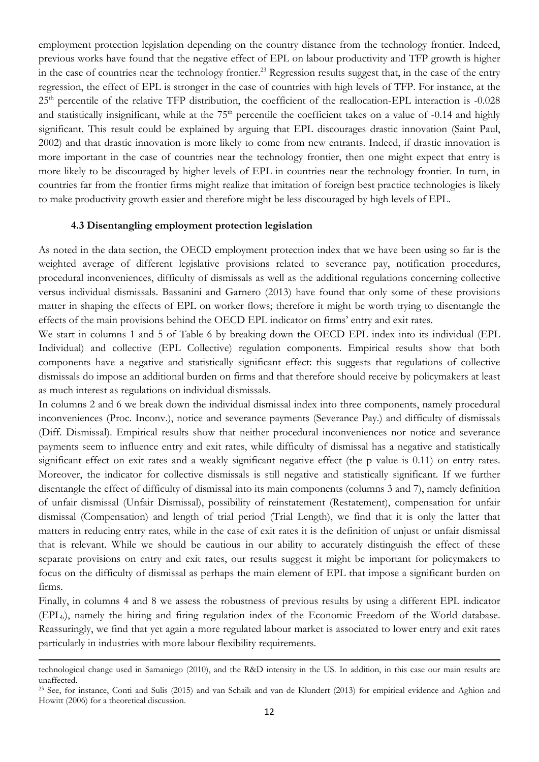employment protection legislation depending on the country distance from the technology frontier. Indeed, previous works have found that the negative effect of EPL on labour productivity and TFP growth is higher in the case of countries near the technology frontier.<sup>23</sup> Regression results suggest that, in the case of the entry regression, the effect of EPL is stronger in the case of countries with high levels of TFP. For instance, at the 25<sup>th</sup> percentile of the relative TFP distribution, the coefficient of the reallocation-EPL interaction is -0.028 and statistically insignificant, while at the 75<sup>th</sup> percentile the coefficient takes on a value of -0.14 and highly significant. This result could be explained by arguing that EPL discourages drastic innovation (Saint Paul, 2002) and that drastic innovation is more likely to come from new entrants. Indeed, if drastic innovation is more important in the case of countries near the technology frontier, then one might expect that entry is more likely to be discouraged by higher levels of EPL in countries near the technology frontier. In turn, in countries far from the frontier firms might realize that imitation of foreign best practice technologies is likely to make productivity growth easier and therefore might be less discouraged by high levels of EPL.

#### **4.3 Disentangling employment protection legislation**

As noted in the data section, the OECD employment protection index that we have been using so far is the weighted average of different legislative provisions related to severance pay, notification procedures, procedural inconveniences, difficulty of dismissals as well as the additional regulations concerning collective versus individual dismissals. Bassanini and Garnero (2013) have found that only some of these provisions matter in shaping the effects of EPL on worker flows; therefore it might be worth trying to disentangle the effects of the main provisions behind the OECD EPL indicator on firms' entry and exit rates.

We start in columns 1 and 5 of Table 6 by breaking down the OECD EPL index into its individual (EPL Individual) and collective (EPL Collective) regulation components. Empirical results show that both components have a negative and statistically significant effect: this suggests that regulations of collective dismissals do impose an additional burden on firms and that therefore should receive by policymakers at least as much interest as regulations on individual dismissals.

In columns 2 and 6 we break down the individual dismissal index into three components, namely procedural inconveniences (Proc. Inconv.), notice and severance payments (Severance Pay.) and difficulty of dismissals (Diff. Dismissal). Empirical results show that neither procedural inconveniences nor notice and severance payments seem to influence entry and exit rates, while difficulty of dismissal has a negative and statistically significant effect on exit rates and a weakly significant negative effect (the p value is 0.11) on entry rates. Moreover, the indicator for collective dismissals is still negative and statistically significant. If we further disentangle the effect of difficulty of dismissal into its main components (columns 3 and 7), namely definition of unfair dismissal (Unfair Dismissal), possibility of reinstatement (Restatement), compensation for unfair dismissal (Compensation) and length of trial period (Trial Length), we find that it is only the latter that matters in reducing entry rates, while in the case of exit rates it is the definition of unjust or unfair dismissal that is relevant. While we should be cautious in our ability to accurately distinguish the effect of these separate provisions on entry and exit rates, our results suggest it might be important for policymakers to focus on the difficulty of dismissal as perhaps the main element of EPL that impose a significant burden on firms.

Finally, in columns 4 and 8 we assess the robustness of previous results by using a different EPL indicator (EPLb), namely the hiring and firing regulation index of the Economic Freedom of the World database. Reassuringly, we find that yet again a more regulated labour market is associated to lower entry and exit rates particularly in industries with more labour flexibility requirements.

<sup>&</sup>lt;u> 1989 - Johann Stoff, amerikansk politiker (d. 1989)</u> technological change used in Samaniego (2010), and the R&D intensity in the US. In addition, in this case our main results are unaffected.

<sup>23</sup> See, for instance, Conti and Sulis (2015) and van Schaik and van de Klundert (2013) for empirical evidence and Aghion and Howitt (2006) for a theoretical discussion.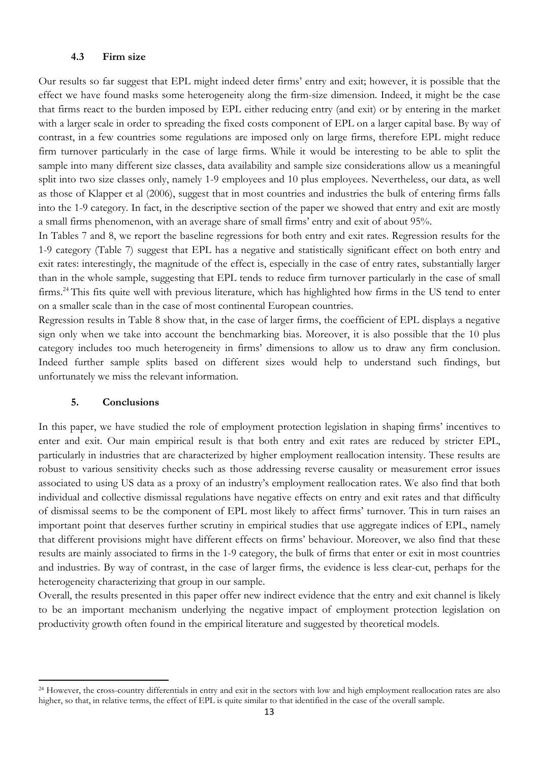#### **4.3 Firm size**

Our results so far suggest that EPL might indeed deter firms' entry and exit; however, it is possible that the effect we have found masks some heterogeneity along the firm-size dimension. Indeed, it might be the case that firms react to the burden imposed by EPL either reducing entry (and exit) or by entering in the market with a larger scale in order to spreading the fixed costs component of EPL on a larger capital base. By way of contrast, in a few countries some regulations are imposed only on large firms, therefore EPL might reduce firm turnover particularly in the case of large firms. While it would be interesting to be able to split the sample into many different size classes, data availability and sample size considerations allow us a meaningful split into two size classes only, namely 1-9 employees and 10 plus employees. Nevertheless, our data, as well as those of Klapper et al (2006), suggest that in most countries and industries the bulk of entering firms falls into the 1-9 category. In fact, in the descriptive section of the paper we showed that entry and exit are mostly a small firms phenomenon, with an average share of small firms' entry and exit of about 95%.

In Tables 7 and 8, we report the baseline regressions for both entry and exit rates. Regression results for the 1-9 category (Table 7) suggest that EPL has a negative and statistically significant effect on both entry and exit rates: interestingly, the magnitude of the effect is, especially in the case of entry rates, substantially larger than in the whole sample, suggesting that EPL tends to reduce firm turnover particularly in the case of small firms.24 This fits quite well with previous literature, which has highlighted how firms in the US tend to enter on a smaller scale than in the case of most continental European countries.

Regression results in Table 8 show that, in the case of larger firms, the coefficient of EPL displays a negative sign only when we take into account the benchmarking bias. Moreover, it is also possible that the 10 plus category includes too much heterogeneity in firms' dimensions to allow us to draw any firm conclusion. Indeed further sample splits based on different sizes would help to understand such findings, but unfortunately we miss the relevant information.

#### **5. Conclusions**

In this paper, we have studied the role of employment protection legislation in shaping firms' incentives to enter and exit. Our main empirical result is that both entry and exit rates are reduced by stricter EPL, particularly in industries that are characterized by higher employment reallocation intensity. These results are robust to various sensitivity checks such as those addressing reverse causality or measurement error issues associated to using US data as a proxy of an industry's employment reallocation rates. We also find that both individual and collective dismissal regulations have negative effects on entry and exit rates and that difficulty of dismissal seems to be the component of EPL most likely to affect firms' turnover. This in turn raises an important point that deserves further scrutiny in empirical studies that use aggregate indices of EPL, namely that different provisions might have different effects on firms' behaviour. Moreover, we also find that these results are mainly associated to firms in the 1-9 category, the bulk of firms that enter or exit in most countries and industries. By way of contrast, in the case of larger firms, the evidence is less clear-cut, perhaps for the heterogeneity characterizing that group in our sample.

Overall, the results presented in this paper offer new indirect evidence that the entry and exit channel is likely to be an important mechanism underlying the negative impact of employment protection legislation on productivity growth often found in the empirical literature and suggested by theoretical models.

<sup>&</sup>lt;sup>24</sup> However, the cross-country differentials in entry and exit in the sectors with low and high employment reallocation rates are also higher, so that, in relative terms, the effect of EPL is quite similar to that identified in the case of the overall sample.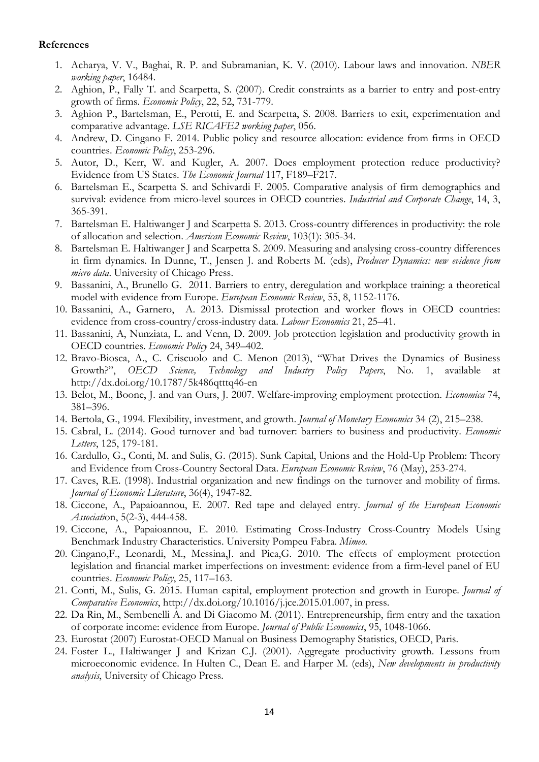#### **References**

- 1. Acharya, V. V., Baghai, R. P. and Subramanian, K. V. (2010). Labour laws and innovation. *NBER working paper*, 16484.
- 2. Aghion, P., Fally T. and Scarpetta, S. (2007). Credit constraints as a barrier to entry and post-entry growth of firms. *Economic Policy*, 22, 52, 731-779.
- 3. Aghion P., Bartelsman, E., Perotti, E. and Scarpetta, S. 2008. Barriers to exit, experimentation and comparative advantage. *LSE RICAFE2 working paper*, 056.
- 4. Andrew, D. Cingano F. 2014. Public policy and resource allocation: evidence from firms in OECD countries. *Economic Policy*, 253-296.
- 5. Autor, D., Kerr, W. and Kugler, A. 2007. Does employment protection reduce productivity? Evidence from US States. *The Economic Journal* 117, F189–F217.
- 6. Bartelsman E., Scarpetta S. and Schivardi F. 2005. Comparative analysis of firm demographics and survival: evidence from micro-level sources in OECD countries. *Industrial and Corporate Change*, 14, 3, 365-391.
- 7. Bartelsman E. Haltiwanger J and Scarpetta S. 2013. Cross-country differences in productivity: the role of allocation and selection. *American Economic Review*, 103(1): 305-34.
- 8. Bartelsman E. Haltiwanger J and Scarpetta S. 2009. Measuring and analysing cross-country differences in firm dynamics. In Dunne, T., Jensen J. and Roberts M. (eds), *Producer Dynamics: new evidence from micro data*. University of Chicago Press.
- 9. Bassanini, A., Brunello G. 2011. Barriers to entry, deregulation and workplace training: a theoretical model with evidence from Europe. *European Economic Review*, 55, 8, 1152-1176.
- 10. Bassanini, A., Garnero, A. 2013. Dismissal protection and worker flows in OECD countries: evidence from cross-country/cross-industry data. *Labour Economics* 21, 25–41.
- 11. Bassanini, A, Nunziata, L. and Venn, D. 2009. Job protection legislation and productivity growth in OECD countries. *Economic Policy* 24, 349–402.
- 12. Bravo-Biosca, A., C. Criscuolo and C. Menon (2013), "What Drives the Dynamics of Business Growth?", *OECD Science, Technology and Industry Policy Papers*, No. 1, available at http://dx.doi.org/10.1787/5k486qtttq46-en
- 13. Belot, M., Boone, J. and van Ours, J. 2007. Welfare-improving employment protection. *Economica* 74, 381–396.
- 14. Bertola, G., 1994. Flexibility, investment, and growth. *Journal of Monetary Economics* 34 (2), 215–238.
- 15. Cabral, L. (2014). Good turnover and bad turnover: barriers to business and productivity. *Economic Letters*, 125, 179-181.
- 16. Cardullo, G., Conti, M. and Sulis, G. (2015). Sunk Capital, Unions and the Hold-Up Problem: Theory and Evidence from Cross-Country Sectoral Data. *European Economic Review*, 76 (May), 253-274.
- 17. Caves, R.E. (1998). Industrial organization and new findings on the turnover and mobility of firms. *Journal of Economic Literature*, 36(4), 1947-82.
- 18. Ciccone, A., Papaioannou, E. 2007. Red tape and delayed entry. *Journal of the European Economic Associati*on, 5(2-3), 444-458.
- 19. Ciccone, A., Papaioannou, E. 2010. Estimating Cross-Industry Cross-Country Models Using Benchmark Industry Characteristics. University Pompeu Fabra. *Mimeo*.
- 20. Cingano,F., Leonardi, M., Messina,J. and Pica,G. 2010. The effects of employment protection legislation and financial market imperfections on investment: evidence from a firm-level panel of EU countries. *Economic Policy*, 25, 117–163.
- 21. Conti, M., Sulis, G. 2015. Human capital, employment protection and growth in Europe. *Journal of Comparative Economics*, http://dx.doi.org/10.1016/j.jce.2015.01.007, in press.
- 22. Da Rin, M., Sembenelli A. and Di Giacomo M. (2011). Entrepreneurship, firm entry and the taxation of corporate income: evidence from Europe. *Journal of Public Economics*, 95, 1048-1066.
- 23. Eurostat (2007) Eurostat-OECD Manual on Business Demography Statistics, OECD, Paris.
- 24. Foster L., Haltiwanger J and Krizan C.J. (2001). Aggregate productivity growth. Lessons from microeconomic evidence. In Hulten C., Dean E. and Harper M. (eds), *New developments in productivity analysis*, University of Chicago Press.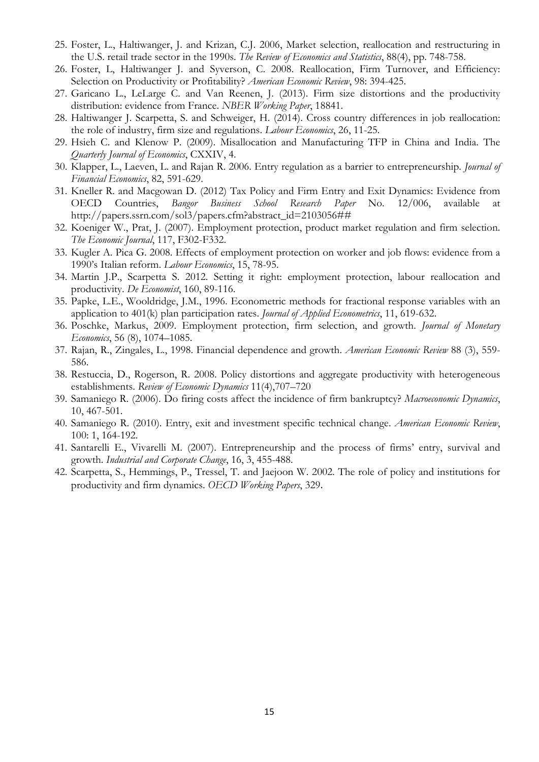- 25. Foster, L., Haltiwanger, J. and Krizan, C.J. 2006, Market selection, reallocation and restructuring in the U.S. retail trade sector in the 1990s. *The Review of Economics and Statistics*, 88(4), pp. 748-758.
- 26. Foster, L, Haltiwanger J. and Syverson, C. 2008. Reallocation, Firm Turnover, and Efficiency: Selection on Productivity or Profitability? *American Economic Review*, 98: 394-425.
- 27. Garicano L., LeLarge C. and Van Reenen, J. (2013). Firm size distortions and the productivity distribution: evidence from France. *NBER Working Paper*, 18841.
- 28. Haltiwanger J. Scarpetta, S. and Schweiger, H. (2014). Cross country differences in job reallocation: the role of industry, firm size and regulations. *Labour Economics*, 26, 11-25.
- 29. Hsieh C. and Klenow P. (2009). Misallocation and Manufacturing TFP in China and India. The *Quarterly Journal of Economics*, CXXIV, 4.
- 30. Klapper, L., Laeven, L. and Rajan R. 2006. Entry regulation as a barrier to entrepreneurship. *Journal of Financial Economics*, 82, 591-629.
- 31. Kneller R. and Macgowan D. (2012) Tax Policy and Firm Entry and Exit Dynamics: Evidence from OECD Countries, *Bangor Business School Research Paper* No. 12/006, available at http://papers.ssrn.com/sol3/papers.cfm?abstract\_id=2103056##
- 32. Koeniger W., Prat, J. (2007). Employment protection, product market regulation and firm selection. *The Economic Journal*, 117, F302-F332.
- 33. Kugler A. Pica G. 2008. Effects of employment protection on worker and job flows: evidence from a 1990's Italian reform. *Labour Economics*, 15, 78-95.
- 34. Martin J.P., Scarpetta S. 2012. Setting it right: employment protection, labour reallocation and productivity. *De Economist*, 160, 89-116.
- 35. Papke, L.E., Wooldridge, J.M., 1996. Econometric methods for fractional response variables with an application to 401(k) plan participation rates. *Journal of Applied Econometrics*, 11, 619-632.
- 36. Poschke, Markus, 2009. Employment protection, firm selection, and growth. *Journal of Monetary Economics*, 56 (8), 1074–1085.
- 37. Rajan, R., Zingales, L., 1998. Financial dependence and growth. *American Economic Review* 88 (3), 559- 586.
- 38. Restuccia, D., Rogerson, R. 2008. Policy distortions and aggregate productivity with heterogeneous establishments. *Review of Economic Dynamics* 11(4),707–720
- 39. Samaniego R. (2006). Do firing costs affect the incidence of firm bankruptcy? *Macroeconomic Dynamics*, 10, 467-501.
- 40. Samaniego R. (2010). Entry, exit and investment specific technical change. *American Economic Review*, 100: 1, 164-192.
- 41. Santarelli E., Vivarelli M. (2007). Entrepreneurship and the process of firms' entry, survival and growth. *Industrial and Corporate Change*, 16, 3, 455-488.
- 42. Scarpetta, S., Hemmings, P., Tressel, T. and Jaejoon W. 2002. The role of policy and institutions for productivity and firm dynamics. *OECD Working Papers*, 329.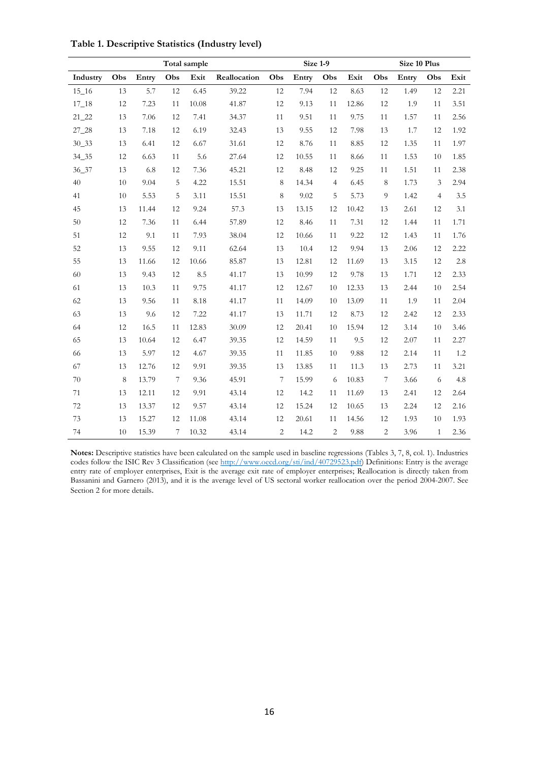|           | Total sample |       |                  |          |              |                 | Size 1-9 |                |       | Size 10 Plus     |       |                |      |
|-----------|--------------|-------|------------------|----------|--------------|-----------------|----------|----------------|-------|------------------|-------|----------------|------|
| Industry  | Obs          | Entry | Obs              | Exit     | Reallocation | Obs             | Entry    | Obs            | Exit  | Obs              | Entry | Obs            | Exit |
| $15 - 16$ | 13           | 5.7   | 12               | 6.45     | 39.22        | 12              | 7.94     | 12             | 8.63  | 12               | 1.49  | 12             | 2.21 |
| $17 - 18$ | 12           | 7.23  | 11               | 10.08    | 41.87        | 12              | 9.13     | 11             | 12.86 | 12               | 1.9   | 11             | 3.51 |
| $21 - 22$ | 13           | 7.06  | 12               | 7.41     | 34.37        | 11              | 9.51     | 11             | 9.75  | 11               | 1.57  | 11             | 2.56 |
| $27 - 28$ | 13           | 7.18  | 12               | 6.19     | 32.43        | 13              | 9.55     | 12             | 7.98  | 13               | 1.7   | 12             | 1.92 |
| $30 - 33$ | 13           | 6.41  | 12               | $6.67\,$ | 31.61        | 12              | 8.76     | 11             | 8.85  | 12               | 1.35  | 11             | 1.97 |
| 34 35     | 12           | 6.63  | 11               | 5.6      | 27.64        | 12              | 10.55    | 11             | 8.66  | 11               | 1.53  | 10             | 1.85 |
| 36_37     | 13           | 6.8   | 12               | 7.36     | 45.21        | 12              | 8.48     | 12             | 9.25  | 11               | 1.51  | 11             | 2.38 |
| 40        | 10           | 9.04  | 5                | 4.22     | 15.51        | $\,8\,$         | 14.34    | $\overline{4}$ | 6.45  | 8                | 1.73  | 3              | 2.94 |
| 41        | 10           | 5.53  | 5                | 3.11     | 15.51        | 8               | 9.02     | 5              | 5.73  | 9                | 1.42  | $\overline{4}$ | 3.5  |
| 45        | 13           | 11.44 | 12               | 9.24     | 57.3         | 13              | 13.15    | 12             | 10.42 | 13               | 2.61  | 12             | 3.1  |
| 50        | 12           | 7.36  | 11               | 6.44     | 57.89        | 12              | 8.46     | 11             | 7.31  | 12               | 1.44  | 11             | 1.71 |
| 51        | 12           | 9.1   | 11               | 7.93     | 38.04        | 12              | 10.66    | 11             | 9.22  | 12               | 1.43  | 11             | 1.76 |
| 52        | 13           | 9.55  | 12               | 9.11     | 62.64        | 13              | 10.4     | 12             | 9.94  | 13               | 2.06  | 12             | 2.22 |
| 55        | 13           | 11.66 | 12               | 10.66    | 85.87        | 13              | 12.81    | 12             | 11.69 | 13               | 3.15  | 12             | 2.8  |
| 60        | 13           | 9.43  | 12               | 8.5      | 41.17        | 13              | 10.99    | 12             | 9.78  | 13               | 1.71  | 12             | 2.33 |
| 61        | 13           | 10.3  | 11               | 9.75     | 41.17        | 12              | 12.67    | 10             | 12.33 | 13               | 2.44  | 10             | 2.54 |
| 62        | 13           | 9.56  | 11               | 8.18     | 41.17        | 11              | 14.09    | 10             | 13.09 | 11               | 1.9   | 11             | 2.04 |
| 63        | 13           | 9.6   | 12               | 7.22     | 41.17        | 13              | 11.71    | 12             | 8.73  | 12               | 2.42  | 12             | 2.33 |
| 64        | 12           | 16.5  | 11               | 12.83    | 30.09        | 12              | 20.41    | 10             | 15.94 | 12               | 3.14  | 10             | 3.46 |
| 65        | 13           | 10.64 | 12               | 6.47     | 39.35        | 12              | 14.59    | 11             | 9.5   | 12               | 2.07  | 11             | 2.27 |
| 66        | 13           | 5.97  | 12               | 4.67     | 39.35        | 11              | 11.85    | 10             | 9.88  | 12               | 2.14  | 11             | 1.2  |
| 67        | 13           | 12.76 | 12               | 9.91     | 39.35        | 13              | 13.85    | 11             | 11.3  | 13               | 2.73  | 11             | 3.21 |
| $70\,$    | 8            | 13.79 | $\boldsymbol{7}$ | 9.36     | 45.91        | $7\phantom{.0}$ | 15.99    | 6              | 10.83 | $\boldsymbol{7}$ | 3.66  | 6              | 4.8  |
| 71        | 13           | 12.11 | 12               | 9.91     | 43.14        | 12              | 14.2     | 11             | 11.69 | 13               | 2.41  | 12             | 2.64 |
| 72        | 13           | 13.37 | 12               | 9.57     | 43.14        | 12              | 15.24    | 12             | 10.65 | 13               | 2.24  | 12             | 2.16 |
| 73        | 13           | 15.27 | 12               | 11.08    | 43.14        | 12              | 20.61    | 11             | 14.56 | 12               | 1.93  | 10             | 1.93 |
| 74        | 10           | 15.39 | $\overline{7}$   | 10.32    | 43.14        | $\overline{c}$  | 14.2     | $\overline{c}$ | 9.88  | $\overline{c}$   | 3.96  | $\mathbf{1}$   | 2.36 |

**Table 1. Descriptive Statistics (Industry level)** 

**Notes:** Descriptive statistics have been calculated on the sample used in baseline regressions (Tables 3, 7, 8, col. 1). Industries codes follow the ISIC Rev 3 Classification (see http://www.oecd.org/sti/ind/40729523.pdf) Definitions: Entry is the average entry rate of employer enterprises, Exit is the average exit rate of employer enterprises; Reallocation is directly taken from Bassanini and Garnero (2013), and it is the average level of US sectoral worker reallocation over the period 2004-2007. See Section 2 for more details.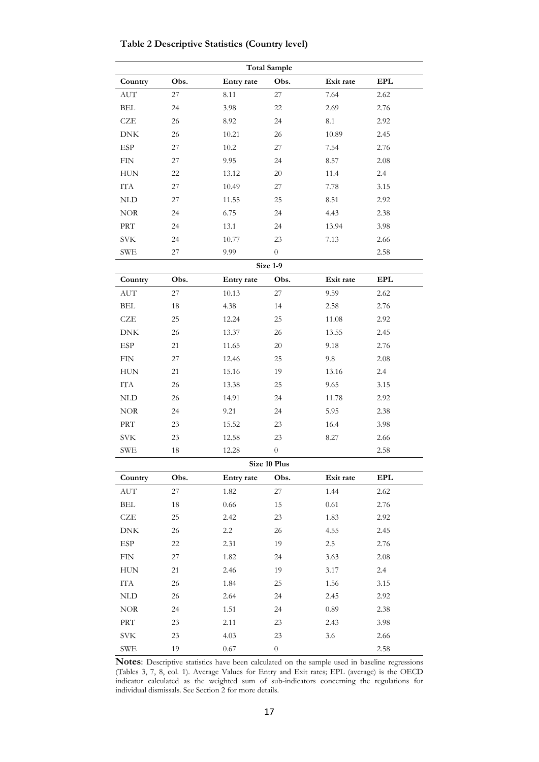**Table 2 Descriptive Statistics (Country level)** 

| <b>Total Sample</b>         |      |            |                  |           |            |  |  |  |  |  |  |
|-----------------------------|------|------------|------------------|-----------|------------|--|--|--|--|--|--|
| Country                     | Obs. | Entry rate | Obs.             | Exit rate | <b>EPL</b> |  |  |  |  |  |  |
| <b>AUT</b>                  | 27   | 8.11       | 27               | 7.64      | 2.62       |  |  |  |  |  |  |
| <b>BEL</b>                  | 24   | 3.98       | 22               | 2.69      | 2.76       |  |  |  |  |  |  |
| CZE                         | 26   | 8.92       | 24               | 8.1       | 2.92       |  |  |  |  |  |  |
| <b>DNK</b>                  | 26   | 10.21      | 26               | 10.89     | 2.45       |  |  |  |  |  |  |
| ESP                         | 27   | 10.2       | 27               | 7.54      | 2.76       |  |  |  |  |  |  |
| <b>FIN</b>                  | 27   | 9.95       | 24               | 8.57      | 2.08       |  |  |  |  |  |  |
| <b>HUN</b>                  | 22   | 13.12      | 20               | 11.4      | 2.4        |  |  |  |  |  |  |
| <b>ITA</b>                  | 27   | 10.49      | 27               | 7.78      | 3.15       |  |  |  |  |  |  |
| <b>NLD</b>                  | 27   | 11.55      | 25               | 8.51      | 2.92       |  |  |  |  |  |  |
| <b>NOR</b>                  | 24   | 6.75       | 24               | 4.43      | 2.38       |  |  |  |  |  |  |
| <b>PRT</b>                  | 24   | 13.1       | 24               | 13.94     | 3.98       |  |  |  |  |  |  |
| <b>SVK</b>                  | 24   | 10.77      | 23               | 7.13      | 2.66       |  |  |  |  |  |  |
| <b>SWE</b>                  | 27   | 9.99       | $\boldsymbol{0}$ |           | 2.58       |  |  |  |  |  |  |
| Size 1-9                    |      |            |                  |           |            |  |  |  |  |  |  |
| Country                     | Obs. | Entry rate | Obs.             | Exit rate | <b>EPL</b> |  |  |  |  |  |  |
| <b>AUT</b>                  | 27   | 10.13      | 27               | 9.59      | 2.62       |  |  |  |  |  |  |
| <b>BEL</b>                  | 18   | 4.38       | 14               | 2.58      | 2.76       |  |  |  |  |  |  |
| <b>CZE</b>                  | 25   | 12.24      | 25               | 11.08     | 2.92       |  |  |  |  |  |  |
| <b>DNK</b>                  | 26   | 13.37      | 26               | 13.55     | 2.45       |  |  |  |  |  |  |
| ESP                         | 21   | 11.65      | 20               | 9.18      | 2.76       |  |  |  |  |  |  |
| ${\rm FIN}$                 | 27   | 12.46      | 25               | 9.8       | 2.08       |  |  |  |  |  |  |
| <b>HUN</b>                  | 21   | 15.16      | 19               | 13.16     | 2.4        |  |  |  |  |  |  |
| IΤA                         | 26   | 13.38      | 25               | 9.65      | 3.15       |  |  |  |  |  |  |
| <b>NLD</b>                  | 26   | 14.91      | 24               | 11.78     | 2.92       |  |  |  |  |  |  |
| $NOR$                       | 24   | 9.21       | 24               | 5.95      | 2.38       |  |  |  |  |  |  |
| PRT                         | 23   | 15.52      | 23               | 16.4      | 3.98       |  |  |  |  |  |  |
| $\rm SVK$                   | 23   | 12.58      | 23               | 8.27      | 2.66       |  |  |  |  |  |  |
| ${\rm SWE}$                 | 18   | 12.28      | $\overline{0}$   |           | 2.58       |  |  |  |  |  |  |
|                             |      |            | Size 10 Plus     |           |            |  |  |  |  |  |  |
| Country                     | Obs. | Entry rate | Obs.             | Exit rate | <b>EPL</b> |  |  |  |  |  |  |
| $\mathop{\rm AUT}$          | 27   | 1.82       | $27\,$           | 1.44      | 2.62       |  |  |  |  |  |  |
| <b>BEL</b>                  | 18   | 0.66       | 15               | 0.61      | 2.76       |  |  |  |  |  |  |
| ${\rm CZE}$                 | 25   | 2.42       | 23               | 1.83      | 2.92       |  |  |  |  |  |  |
| ${\rm DNK}$                 | 26   | 2.2        | 26               | 4.55      | 2.45       |  |  |  |  |  |  |
| ESP                         | 22   | 2.31       | 19               | 2.5       | 2.76       |  |  |  |  |  |  |
| <b>FIN</b>                  | 27   | 1.82       | 24               | 3.63      | 2.08       |  |  |  |  |  |  |
| ${\rm HUN}$                 | 21   | 2.46       | 19               | 3.17      | 2.4        |  |  |  |  |  |  |
| ${\rm ITA}$                 | 26   | 1.84       | 25               | 1.56      | 3.15       |  |  |  |  |  |  |
| $\mbox{NLD}$                | 26   | 2.64       | $24\,$           | 2.45      | 2.92       |  |  |  |  |  |  |
| $\rm{NOR}$                  | 24   | 1.51       | 24               | 0.89      | 2.38       |  |  |  |  |  |  |
| $\ensuremath{\mathsf{PRT}}$ | 23   | 2.11       | 23               | 2.43      | 3.98       |  |  |  |  |  |  |
| $\rm SVK$                   | 23   | 4.03       | 23               | 3.6       | 2.66       |  |  |  |  |  |  |
| ${\rm SWE}$                 | 19   | $0.67\,$   | $\boldsymbol{0}$ |           | 2.58       |  |  |  |  |  |  |

**Notes**: Descriptive statistics have been calculated on the sample used in baseline regressions (Tables 3, 7, 8, col. 1). Average Values for Entry and Exit rates; EPL (average) is the OECD indicator calculated as the weighted sum of sub-indicators concerning the regulations for individual dismissals. See Section 2 for more details.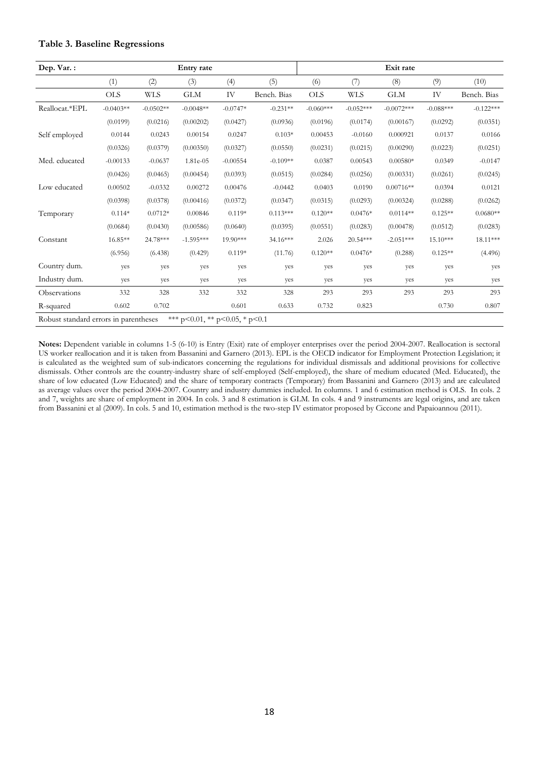#### **Table 3. Baseline Regressions**

| Dep. Var.:                            |             |             | Entry rate                             |            |             |             |             | Exit rate    |             |             |
|---------------------------------------|-------------|-------------|----------------------------------------|------------|-------------|-------------|-------------|--------------|-------------|-------------|
|                                       | (1)         | (2)         | (3)                                    | (4)        | (5)         | (6)         | (7)         | (8)          | (9)         | (10)        |
|                                       | <b>OLS</b>  | <b>WLS</b>  | GLM                                    | IV         | Bench. Bias | <b>OLS</b>  | <b>WLS</b>  | <b>GLM</b>   | IV          | Bench. Bias |
| Reallocat.*EPL                        | $-0.0403**$ | $-0.0502**$ | $-0.0048**$                            | $-0.0747*$ | $-0.231**$  | $-0.060***$ | $-0.052***$ | $-0.0072***$ | $-0.088***$ | $-0.122***$ |
|                                       | (0.0199)    | (0.0216)    | (0.00202)                              | (0.0427)   | (0.0936)    | (0.0196)    | (0.0174)    | (0.00167)    | (0.0292)    | (0.0351)    |
| Self employed                         | 0.0144      | 0.0243      | 0.00154                                | 0.0247     | $0.103*$    | 0.00453     | $-0.0160$   | 0.000921     | 0.0137      | 0.0166      |
|                                       | (0.0326)    | (0.0379)    | (0.00350)                              | (0.0327)   | (0.0550)    | (0.0231)    | (0.0215)    | (0.00290)    | (0.0223)    | (0.0251)    |
| Med. educated                         | $-0.00133$  | $-0.0637$   | 1.81e-05                               | $-0.00554$ | $-0.109**$  | 0.0387      | 0.00543     | $0.00580*$   | 0.0349      | $-0.0147$   |
|                                       | (0.0426)    | (0.0465)    | (0.00454)                              | (0.0393)   | (0.0515)    | (0.0284)    | (0.0256)    | (0.00331)    | (0.0261)    | (0.0245)    |
| Low educated                          | 0.00502     | $-0.0332$   | 0.00272                                | 0.00476    | $-0.0442$   | 0.0403      | 0.0190      | $0.00716**$  | 0.0394      | 0.0121      |
|                                       | (0.0398)    | (0.0378)    | (0.00416)                              | (0.0372)   | (0.0347)    | (0.0315)    | (0.0293)    | (0.00324)    | (0.0288)    | (0.0262)    |
| Temporary                             | $0.114*$    | $0.0712*$   | 0.00846                                | $0.119*$   | $0.113***$  | $0.120**$   | $0.0476*$   | $0.0114**$   | $0.125**$   | $0.0680**$  |
|                                       | (0.0684)    | (0.0430)    | (0.00586)                              | (0.0640)   | (0.0395)    | (0.0551)    | (0.0283)    | (0.00478)    | (0.0512)    | (0.0283)    |
| Constant                              | 16.85**     | 24.78***    | $-1.595***$                            | 19.90***   | 34.16***    | 2.026       | 20.54***    | $-2.051***$  | $15.10***$  | 18.11***    |
|                                       | (6.956)     | (6.438)     | (0.429)                                | $0.119*$   | (11.76)     | $0.120**$   | $0.0476*$   | (0.288)      | $0.125**$   | (4.496)     |
| Country dum.                          | yes         | yes         | yes                                    | yes        | yes         | yes         | yes         | yes          | yes         | yes         |
| Industry dum.                         | yes         | yes         | yes                                    | yes        | yes         | yes         | yes         | yes          | yes         | yes         |
| Observations                          | 332         | 328         | 332                                    | 332        | 328         | 293         | 293         | 293          | 293         | 293         |
| R-squared                             | 0.602       | 0.702       |                                        | 0.601      | 0.633       | 0.732       | 0.823       |              | 0.730       | 0.807       |
| Robust standard errors in parentheses |             |             | *** $p<0.01$ , ** $p<0.05$ , * $p<0.1$ |            |             |             |             |              |             |             |

**Notes:** Dependent variable in columns 1-5 (6-10) is Entry (Exit) rate of employer enterprises over the period 2004-2007. Reallocation is sectoral US worker reallocation and it is taken from Bassanini and Garnero (2013). EPL is the OECD indicator for Employment Protection Legislation; it is calculated as the weighted sum of sub-indicators concerning the regulations for individual dismissals and additional provisions for collective dismissals. Other controls are the country-industry share of self-employed (Self-employed), the share of medium educated (Med. Educated), the share of low educated (Low Educated) and the share of temporary contracts (Temporary) from Bassanini and Garnero (2013) and are calculated as average values over the period 2004-2007. Country and industry dummies included. In columns. 1 and 6 estimation method is OLS. In cols. 2 and 7, weights are share of employment in 2004. In cols. 3 and 8 estimation is GLM. In cols. 4 and 9 instruments are legal origins, and are taken from Bassanini et al (2009). In cols. 5 and 10, estimation method is the two-step IV estimator proposed by Ciccone and Papaioannou (2011).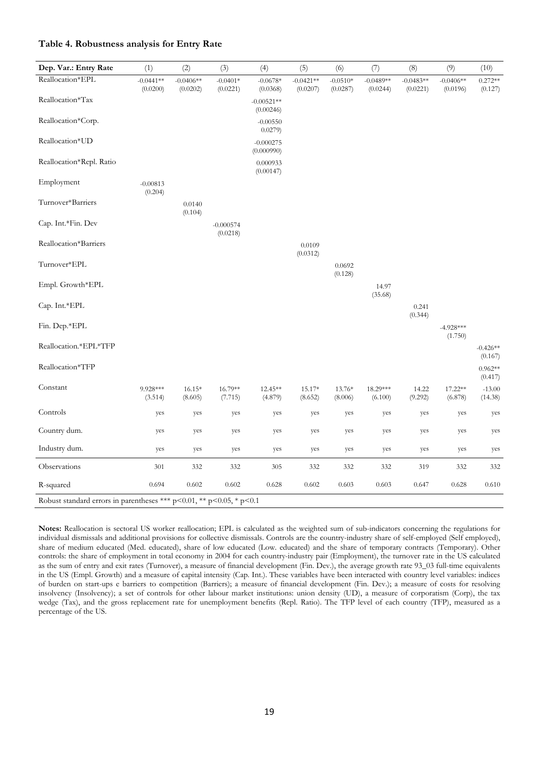#### **Table 4. Robustness analysis for Entry Rate**

| Dep. Var.: Entry Rate                                                        | (1)                     | (2)                     | (3)                     | (4)                       | (5)                     | (6)                    | (7)                     | (8)                     | (9)                     | (10)                  |
|------------------------------------------------------------------------------|-------------------------|-------------------------|-------------------------|---------------------------|-------------------------|------------------------|-------------------------|-------------------------|-------------------------|-----------------------|
| Reallocation*EPL                                                             | $-0.0441**$<br>(0.0200) | $-0.0406**$<br>(0.0202) | $-0.0401*$<br>(0.0221)  | $-0.0678*$<br>(0.0368)    | $-0.0421**$<br>(0.0207) | $-0.0510*$<br>(0.0287) | $-0.0489**$<br>(0.0244) | $-0.0483**$<br>(0.0221) | $-0.0406**$<br>(0.0196) | $0.272**$<br>(0.127)  |
| Reallocation*Tax                                                             |                         |                         |                         | $-0.00521**$<br>(0.00246) |                         |                        |                         |                         |                         |                       |
| Reallocation*Corp.                                                           |                         |                         |                         | $-0.00550$<br>0.0279)     |                         |                        |                         |                         |                         |                       |
| Reallocation*UD                                                              |                         |                         |                         | $-0.000275$<br>(0.000990) |                         |                        |                         |                         |                         |                       |
| Reallocation*Repl. Ratio                                                     |                         |                         |                         | 0.000933<br>(0.00147)     |                         |                        |                         |                         |                         |                       |
| Employment                                                                   | $-0.00813$<br>(0.204)   |                         |                         |                           |                         |                        |                         |                         |                         |                       |
| Turnover*Barriers                                                            |                         | 0.0140<br>(0.104)       |                         |                           |                         |                        |                         |                         |                         |                       |
| Cap. Int.*Fin. Dev                                                           |                         |                         | $-0.000574$<br>(0.0218) |                           |                         |                        |                         |                         |                         |                       |
| Reallocation*Barriers                                                        |                         |                         |                         |                           | 0.0109<br>(0.0312)      |                        |                         |                         |                         |                       |
| Turnover*EPL                                                                 |                         |                         |                         |                           |                         | 0.0692<br>(0.128)      |                         |                         |                         |                       |
| Empl. Growth*EPL                                                             |                         |                         |                         |                           |                         |                        | 14.97<br>(35.68)        |                         |                         |                       |
| Cap. Int.*EPL                                                                |                         |                         |                         |                           |                         |                        |                         | 0.241<br>(0.344)        |                         |                       |
| Fin. Dep.*EPL                                                                |                         |                         |                         |                           |                         |                        |                         |                         | $-4.928***$<br>(1.750)  |                       |
| Reallocation.*EPL*TFP                                                        |                         |                         |                         |                           |                         |                        |                         |                         |                         | $-0.426**$<br>(0.167) |
| Reallocation*TFP                                                             |                         |                         |                         |                           |                         |                        |                         |                         |                         | $0.962**$<br>(0.417)  |
| Constant                                                                     | 9.928***<br>(3.514)     | $16.15*$<br>(8.605)     | 16.79**<br>(7.715)      | 12.45**<br>(4.879)        | 15.17*<br>(8.652)       | 13.76*<br>(8.006)      | 18.29***<br>(6.100)     | 14.22<br>(9.292)        | 17.22**<br>(6.878)      | $-13.00$<br>(14.38)   |
| Controls                                                                     | yes                     | yes                     | yes                     | yes                       | yes                     | yes                    | yes                     | yes                     | yes                     | yes                   |
| Country dum.                                                                 | yes                     | yes                     | yes                     | yes                       | yes                     | yes                    | yes                     | yes                     | yes                     | yes                   |
| Industry dum.                                                                | yes                     | yes                     | yes                     | yes                       | yes                     | yes                    | yes                     | yes                     | yes                     | yes                   |
| Observations                                                                 | 301                     | 332                     | 332                     | 305                       | 332                     | 332                    | 332                     | 319                     | 332                     | 332                   |
| R-squared                                                                    | 0.694                   | 0.602                   | 0.602                   | 0.628                     | 0.602                   | 0.603                  | 0.603                   | 0.647                   | 0.628                   | 0.610                 |
| Robust standard errors in parentheses *** $p<0.01$ , ** $p<0.05$ , * $p<0.1$ |                         |                         |                         |                           |                         |                        |                         |                         |                         |                       |

**Notes:** Reallocation is sectoral US worker reallocation; EPL is calculated as the weighted sum of sub-indicators concerning the regulations for individual dismissals and additional provisions for collective dismissals. Controls are the country-industry share of self-employed (Self employed), share of medium educated (Med. educated), share of low educated (Low. educated) and the share of temporary contracts (Temporary). Other controls: the share of employment in total economy in 2004 for each country-industry pair (Employment), the turnover rate in the US calculated as the sum of entry and exit rates (Turnover), a measure of financial development (Fin. Dev.), the average growth rate 93\_03 full-time equivalents in the US (Empl. Growth) and a measure of capital intensity (Cap. Int.). These variables have been interacted with country level variables: indices of burden on start-ups e barriers to competition (Barriers); a measure of financial development (Fin. Dev.); a measure of costs for resolving insolvency (Insolvency); a set of controls for other labour market institutions: union density (UD), a measure of corporatism (Corp), the tax wedge (Tax), and the gross replacement rate for unemployment benefits (Repl. Ratio). The TFP level of each country (TFP), measured as a percentage of the US.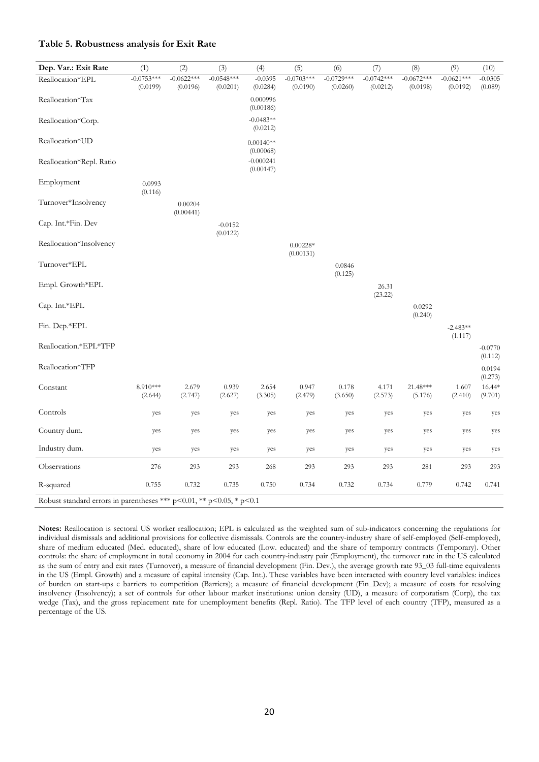#### **Table 5. Robustness analysis for Exit Rate**

| Dep. Var.: Exit Rate                                                         | (1)                      | (2)                      | (3)                      | (4)                      | (5)                      | (6)                      | (7)                      | (8)                      | (9)                      | (10)                 |
|------------------------------------------------------------------------------|--------------------------|--------------------------|--------------------------|--------------------------|--------------------------|--------------------------|--------------------------|--------------------------|--------------------------|----------------------|
| Reallocation*EPL                                                             | $-0.0753***$<br>(0.0199) | $-0.0622***$<br>(0.0196) | $-0.0548***$<br>(0.0201) | $-0.0395$<br>(0.0284)    | $-0.0703***$<br>(0.0190) | $-0.0729***$<br>(0.0260) | $-0.0742***$<br>(0.0212) | $-0.0672***$<br>(0.0198) | $-0.0621***$<br>(0.0192) | $-0.0305$<br>(0.089) |
| Reallocation*Tax                                                             |                          |                          |                          | 0.000996<br>(0.00186)    |                          |                          |                          |                          |                          |                      |
| Reallocation*Corp.                                                           |                          |                          |                          | $-0.0483**$<br>(0.0212)  |                          |                          |                          |                          |                          |                      |
| Reallocation*UD                                                              |                          |                          |                          | $0.00140**$<br>(0.00068) |                          |                          |                          |                          |                          |                      |
| Reallocation*Repl. Ratio                                                     |                          |                          |                          | $-0.000241$<br>(0.00147) |                          |                          |                          |                          |                          |                      |
| Employment                                                                   | 0.0993<br>(0.116)        |                          |                          |                          |                          |                          |                          |                          |                          |                      |
| Turnover*Insolvency                                                          |                          | 0.00204<br>(0.00441)     |                          |                          |                          |                          |                          |                          |                          |                      |
| Cap. Int.*Fin. Dev                                                           |                          |                          | $-0.0152$<br>(0.0122)    |                          |                          |                          |                          |                          |                          |                      |
| Reallocation*Insolvency                                                      |                          |                          |                          |                          | $0.00228*$<br>(0.00131)  |                          |                          |                          |                          |                      |
| Turnover*EPL                                                                 |                          |                          |                          |                          |                          | 0.0846<br>(0.125)        |                          |                          |                          |                      |
| Empl. Growth*EPL                                                             |                          |                          |                          |                          |                          |                          | 26.31<br>(23.22)         |                          |                          |                      |
| Cap. Int.*EPL                                                                |                          |                          |                          |                          |                          |                          |                          | 0.0292<br>(0.240)        |                          |                      |
| Fin. Dep.*EPL                                                                |                          |                          |                          |                          |                          |                          |                          |                          | $-2.483**$<br>(1.117)    |                      |
| Reallocation.*EPL*TFP                                                        |                          |                          |                          |                          |                          |                          |                          |                          |                          | $-0.0770$<br>(0.112) |
| Reallocation*TFP                                                             |                          |                          |                          |                          |                          |                          |                          |                          |                          | 0.0194<br>(0.273)    |
| Constant                                                                     | 8.910***<br>(2.644)      | 2.679<br>(2.747)         | 0.939<br>(2.627)         | 2.654<br>(3.305)         | 0.947<br>(2.479)         | $0.178\,$<br>(3.650)     | 4.171<br>(2.573)         | 21.48***<br>(5.176)      | 1.607<br>(2.410)         | 16.44*<br>(9.701)    |
| Controls                                                                     | yes                      | yes                      | yes                      | yes                      | yes                      | yes                      | yes                      | yes                      | yes                      | yes                  |
| Country dum.                                                                 | yes                      | yes                      | yes                      | yes                      | yes                      | yes                      | yes                      | yes                      | yes                      | yes                  |
| Industry dum.                                                                | yes                      | yes                      | yes                      | yes                      | yes                      | yes                      | yes                      | yes                      | yes                      | yes                  |
| Observations                                                                 | 276                      | 293                      | 293                      | 268                      | 293                      | 293                      | 293                      | 281                      | 293                      | 293                  |
| R-squared                                                                    | 0.755                    | 0.732                    | 0.735                    | 0.750                    | 0.734                    | 0.732                    | 0.734                    | 0.779                    | 0.742                    | 0.741                |
| Robust standard errors in parentheses *** $p<0.01$ , ** $p<0.05$ , * $p<0.1$ |                          |                          |                          |                          |                          |                          |                          |                          |                          |                      |

**Notes:** Reallocation is sectoral US worker reallocation; EPL is calculated as the weighted sum of sub-indicators concerning the regulations for individual dismissals and additional provisions for collective dismissals. Controls are the country-industry share of self-employed (Self-employed), share of medium educated (Med. educated), share of low educated (Low. educated) and the share of temporary contracts (Temporary). Other controls: the share of employment in total economy in 2004 for each country-industry pair (Employment), the turnover rate in the US calculated as the sum of entry and exit rates (Turnover), a measure of financial development (Fin. Dev.), the average growth rate 93\_03 full-time equivalents in the US (Empl. Growth) and a measure of capital intensity (Cap. Int.). These variables have been interacted with country level variables: indices of burden on start-ups e barriers to competition (Barriers); a measure of financial development (Fin\_Dev); a measure of costs for resolving insolvency (Insolvency); a set of controls for other labour market institutions: union density (UD), a measure of corporatism (Corp), the tax wedge (Tax), and the gross replacement rate for unemployment benefits (Repl. Ratio). The TFP level of each country (TFP), measured as a percentage of the US.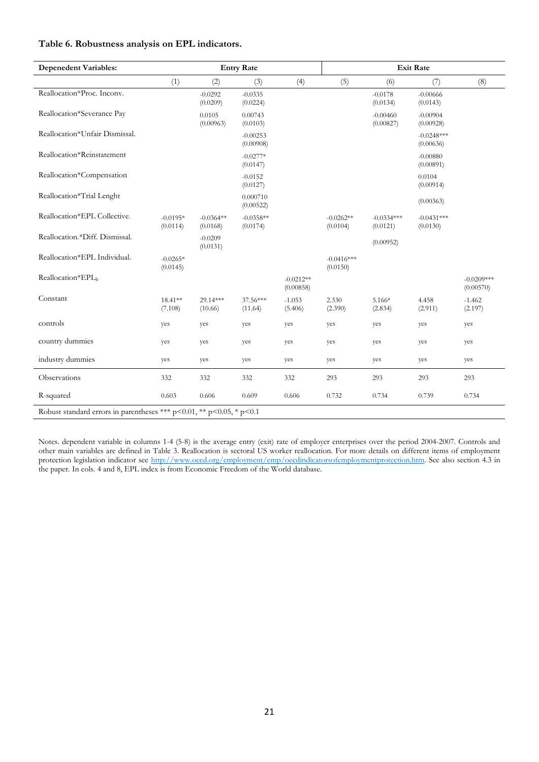#### **Table 6. Robustness analysis on EPL indicators.**

| <b>Depenedent Variables:</b>                                         |                        |                         | <b>Entry Rate</b>       |                          |                          |                          | <b>Exit Rate</b>          |                           |
|----------------------------------------------------------------------|------------------------|-------------------------|-------------------------|--------------------------|--------------------------|--------------------------|---------------------------|---------------------------|
|                                                                      | (1)                    | (2)                     | (3)                     | (4)                      | (5)                      | (6)                      | (7)                       | (8)                       |
| Reallocation*Proc. Inconv.                                           |                        | $-0.0292$<br>(0.0209)   | $-0.0335$<br>(0.0224)   |                          |                          | $-0.0178$<br>(0.0134)    | $-0.00666$<br>(0.0143)    |                           |
| Reallocation*Severance Pay                                           |                        | 0.0105<br>(0.00963)     | 0.00743<br>(0.0103)     |                          |                          | $-0.00460$<br>(0.00827)  | $-0.00904$<br>(0.00928)   |                           |
| Reallocation*Unfair Dismissal.                                       |                        |                         | $-0.00253$<br>(0.00908) |                          |                          |                          | $-0.0248***$<br>(0.00636) |                           |
| Reallocation*Reinstatement                                           |                        |                         | $-0.0277*$<br>(0.0147)  |                          |                          |                          | $-0.00880$<br>(0.00891)   |                           |
| Reallocation*Compensation                                            |                        |                         | $-0.0152$<br>(0.0127)   |                          |                          |                          | 0.0104<br>(0.00914)       |                           |
| Reallocation*Trial Lenght                                            |                        |                         | 0.000710<br>(0.00522)   |                          |                          |                          | (0.00363)                 |                           |
| Reallocation*EPL Collective.                                         | $-0.0195*$<br>(0.0114) | $-0.0364**$<br>(0.0168) | $-0.0358**$<br>(0.0174) |                          | $-0.0262**$<br>(0.0104)  | $-0.0334***$<br>(0.0121) | $-0.0431***$<br>(0.0130)  |                           |
| Reallocation.*Diff. Dismissal.                                       |                        | $-0.0209$<br>(0.0131)   |                         |                          |                          | (0.00952)                |                           |                           |
| Reallocation*EPL Individual.                                         | $-0.0265*$<br>(0.0145) |                         |                         |                          | $-0.0416***$<br>(0.0150) |                          |                           |                           |
| Reallocation*EPLb                                                    |                        |                         |                         | $-0.0212**$<br>(0.00858) |                          |                          |                           | $-0.0209***$<br>(0.00570) |
| Constant                                                             | 18.41**<br>(7.108)     | 29.14***<br>(10.66)     | 37.56***<br>(11.64)     | $-1.053$<br>(5.406)      | 2.330<br>(2.390)         | 5.166*<br>(2.834)        | 4.458<br>(2.911)          | $-1.462$<br>(2.197)       |
| controls                                                             | yes                    | yes                     | yes                     | yes                      | yes                      | yes                      | yes                       | yes                       |
| country dummies                                                      | yes                    | yes                     | yes                     | yes                      | yes                      | yes                      | yes                       | yes                       |
| industry dummies                                                     | yes                    | yes                     | yes                     | yes                      | yes                      | yes                      | yes                       | yes                       |
| Observations                                                         | 332                    | 332                     | 332                     | 332                      | 293                      | 293                      | 293                       | 293                       |
| R-squared                                                            | 0.603                  | 0.606                   | 0.609                   | 0.606                    | 0.732                    | 0.734                    | 0.739                     | 0.734                     |
| Robust standard errors in parentheses *** p<0.01, ** p<0.05, * p<0.1 |                        |                         |                         |                          |                          |                          |                           |                           |

Notes. dependent variable in columns 1-4 (5-8) is the average entry (exit) rate of employer enterprises over the period 2004-2007. Controls and other main variables are defined in Table 3. Reallocation is sectoral US worker reallocation. For more details on different items of employment protection legislation indicator see http://www.oecd.org/employment/emp/oecdindicatorsofemploymentprotection.htm. See also section 4.3 in the paper. In cols. 4 and 8, EPL index is from Economic Freedom of the World database.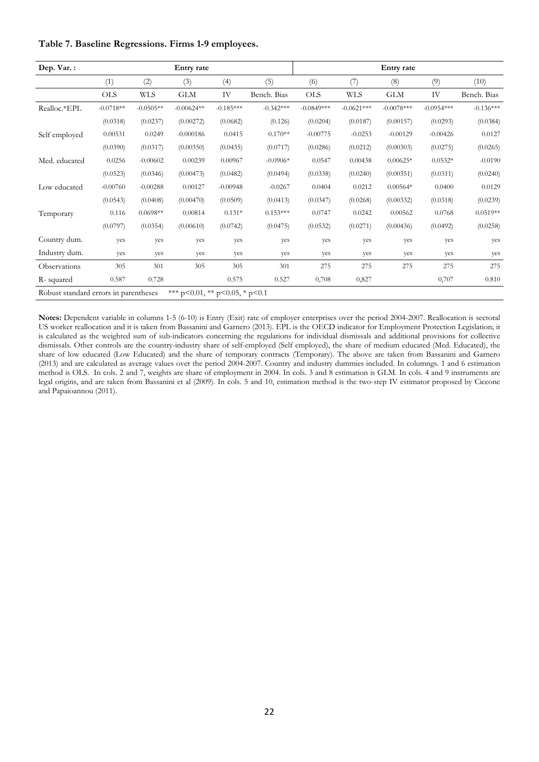|  | Table 7. Baseline Regressions. Firms 1-9 employees. |  |
|--|-----------------------------------------------------|--|
|  |                                                     |  |

| Dep. Var.:                            |             |             | Entry rate                             |             |             |              |              | Entry rate   |              |             |
|---------------------------------------|-------------|-------------|----------------------------------------|-------------|-------------|--------------|--------------|--------------|--------------|-------------|
|                                       | (1)         | (2)         | (3)                                    | (4)         | (5)         | (6)          | (7)          | (8)          | (9)          | (10)        |
|                                       | <b>OLS</b>  | WLS         | <b>GLM</b>                             | IV          | Bench. Bias | <b>OLS</b>   | <b>WLS</b>   | <b>GLM</b>   | IV           | Bench. Bias |
| Realloc.*EPL                          | $-0.0718**$ | $-0.0505**$ | $-0.00624**$                           | $-0.185***$ | $-0.342***$ | $-0.0849***$ | $-0.0621***$ | $-0.0078***$ | $-0.0954***$ | $-0.136***$ |
|                                       | (0.0318)    | (0.0237)    | (0.00272)                              | (0.0682)    | (0.126)     | (0.0204)     | (0.0187)     | (0.00157)    | (0.0293)     | (0.0384)    |
| Self employed                         | 0.00531     | 0.0249      | $-0.000186$                            | 0.0415      | $0.170**$   | $-0.00775$   | $-0.0253$    | $-0.00129$   | $-0.00426$   | 0.0127      |
|                                       | (0.0390)    | (0.0317)    | (0.00350)                              | (0.0435)    | (0.0717)    | (0.0286)     | (0.0212)     | (0.00303)    | (0.0275)     | (0.0265)    |
| Med. educated                         | 0.0256      | $-0.00602$  | 0.00239                                | 0.00967     | $-0.0906*$  | 0.0547       | 0.00438      | $0.00625*$   | $0.0532*$    | $-0.0190$   |
|                                       | (0.0523)    | (0.0346)    | (0.00473)                              | (0.0482)    | (0.0494)    | (0.0338)     | (0.0240)     | (0.00351)    | (0.0311)     | (0.0240)    |
| Low educated                          | $-0.00760$  | $-0.00288$  | 0.00127                                | $-0.00948$  | $-0.0267$   | 0.0404       | 0.0212       | $0.00564*$   | 0.0400       | 0.0129      |
|                                       | (0.0543)    | (0.0408)    | (0.00470)                              | (0.0509)    | (0.0413)    | (0.0347)     | (0.0268)     | (0.00332)    | (0.0318)     | (0.0239)    |
| Temporary                             | 0.116       | $0.0698**$  | 0.00814                                | $0.131*$    | $0.153***$  | 0.0747       | 0.0242       | 0.00562      | 0.0768       | $0.0519**$  |
|                                       | (0.0797)    | (0.0354)    | (0.00610)                              | (0.0742)    | (0.0475)    | (0.0532)     | (0.0271)     | (0.00436)    | (0.0492)     | (0.0258)    |
| Country dum.                          | yes         | yes         | yes                                    | yes         | yes         | yes          | yes          | yes          | yes          | yes         |
| Industry dum.                         | yes         | yes         | yes                                    | yes         | yes         | yes          | yes          | yes          | yes          | yes         |
| Observations                          | 305         | 301         | 305                                    | 305         | 301         | 275          | 275          | 275          | 275          | 275         |
| R-squared                             | 0.587       | 0.728       |                                        | 0.575       | 0.527       | 0,708        | 0,827        |              | 0,707        | 0.810       |
| Robust standard errors in parentheses |             |             | *** $p<0.01$ , ** $p<0.05$ , * $p<0.1$ |             |             |              |              |              |              |             |

**Notes:** Dependent variable in columns 1-5 (6-10) is Entry (Exit) rate of employer enterprises over the period 2004-2007. Reallocation is sectoral US worker reallocation and it is taken from Bassanini and Garnero (2013). EPL is the OECD indicator for Employment Protection Legislation; it is calculated as the weighted sum of sub-indicators concerning the regulations for individual dismissals and additional provisions for collective dismissals. Other controls are the country-industry share of self-employed (Self employed), the share of medium educated (Med. Educated), the share of low educated (Low Educated) and the share of temporary contracts (Temporary). The above are taken from Bassanini and Garnero (2013) and are calculated as average values over the period 2004-2007. Country and industry dummies included. In columngs. 1 and 6 estimation method is OLS. In cols. 2 and 7, weights are share of employment in 2004. In cols. 3 and 8 estimation is GLM. In cols. 4 and 9 instruments are legal origins, and are taken from Bassanini et al (2009). In cols. 5 and 10, estimation method is the two-step IV estimator proposed by Ciccone and Papaioannou (2011).